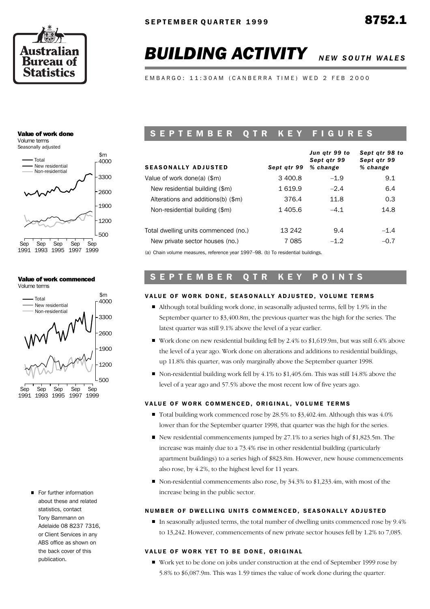

*Sept qtr 98 to*

# **BUILDING ACTIVITY** NEW SOUTH WALES

EMBARGO: 11:30AM (CANBERRA TIME) WED 2 FEB 2000

## Value of work done

Volume terms Seasonally adjusted



## Value of work commenced



For further information about these and related statistics, contact Tony Bammann on Adelaide 08 8237 7316, or Client Services in any ABS office as shown on the back cover of this publication.

## S E P T E M B E R O T R K E Y F I G U R E S

| <b>SEASONALLY ADJUSTED</b>                                                        | Sept atr 99 | Jun qtr 99 to<br>Sept atr 99<br>% change | sept atr 98 to<br>Sept atr 99<br>% change |
|-----------------------------------------------------------------------------------|-------------|------------------------------------------|-------------------------------------------|
| Value of work done(a) (\$m)                                                       | 3 400.8     | $-1.9$                                   | 9.1                                       |
| New residential building (\$m)                                                    | 1 619.9     | $-2.4$                                   | 6.4                                       |
| Alterations and additions(b) (\$m)                                                | 376.4       | 11.8                                     | 0.3                                       |
| Non-residential building (\$m)                                                    | 1405.6      | $-4.1$                                   | 14.8                                      |
| Total dwelling units commenced (no.)                                              | 13 242      | 9.4                                      | $-1.4$                                    |
| New private sector houses (no.)                                                   | 7 0 8 5     | $-1.2$                                   | $-0.7$                                    |
| (a) Chain volume measures, reference vear $1007, 08$ (b) To residential buildings |             |                                          |                                           |

*Jun qtr 99 to*

(a) Chain volume measures, reference year 1997–98. (b) To residential buildings.

# S E P T E M B E R Q T R K E Y P O I N T S

## VALUE OF WORK DONE, SEASONALLY ADJUSTED, VOLUME TERMS

- $\blacksquare$  Although total building work done, in seasonally adjusted terms, fell by 1.9% in the September quarter to \$3,400.8m, the previous quarter was the high for the series. The latest quarter was still 9.1% above the level of a year earlier.
- Work done on new residential building fell by 2.4% to \$1,619.9m, but was still 6.4% above the level of a year ago. Work done on alterations and additions to residential buildings, up 11.8% this quarter, was only marginally above the September quarter 1998.
- Non-residential building work fell by  $4.1\%$  to \$1,405.6m. This was still 14.8% above the level of a year ago and 57.5% above the most recent low of five years ago.

## VALUE OF WORK COMMENCED, ORIGINAL, VOLUME TERMS

- Total building work commenced rose by 28.5% to  $$3,402.4$ m. Although this was 4.0% lower than for the September quarter 1998, that quarter was the high for the series.
- New residential commencements jumped by 27.1% to a series high of \$1,823.5m. The increase was mainly due to a 73.4% rise in other residential building (particularly apartment buildings) to a series high of \$823.8m. However, new house commencements also rose, by 4.2%, to the highest level for 11 years.
- Non-residential commencements also rose, by 34.3% to \$1,233.4m, with most of the increase being in the public sector.

## NUMBER OF DWELLING UNITS COMMENCED, SEASONALLY ADJUSTED

In seasonally adjusted terms, the total number of dwelling units commenced rose by  $9.4\%$ to 13,242. However, commencements of new private sector houses fell by 1.2% to 7,085.

### VALUE OF WORK YET TO BE DONE, ORIGINAL

Work yet to be done on jobs under construction at the end of September 1999 rose by 5.8% to \$6,087.9m. This was 1.59 times the value of work done during the quarter.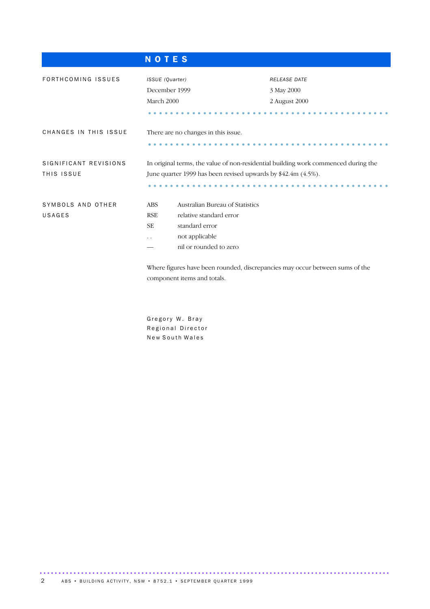|                                     | <b>NOTES</b>                                                                                                                                                                              |                                                                                                                                                     |                                                                              |  |  |  |  |  |  |  |  |
|-------------------------------------|-------------------------------------------------------------------------------------------------------------------------------------------------------------------------------------------|-----------------------------------------------------------------------------------------------------------------------------------------------------|------------------------------------------------------------------------------|--|--|--|--|--|--|--|--|
| FORTHCOMING ISSUES                  | ISSUE (Quarter)<br>December 1999<br>March 2000                                                                                                                                            |                                                                                                                                                     | <b>RELEASE DATE</b><br>3 May 2000<br>2 August 2000                           |  |  |  |  |  |  |  |  |
| CHANGES IN THIS ISSUE               |                                                                                                                                                                                           | There are no changes in this issue.                                                                                                                 |                                                                              |  |  |  |  |  |  |  |  |
| SIGNIFICANT REVISIONS<br>THIS ISSUE |                                                                                                                                                                                           | In original terms, the value of non-residential building work commenced during the<br>June quarter 1999 has been revised upwards by \$42.4m (4.5%). |                                                                              |  |  |  |  |  |  |  |  |
| SYMBOLS AND OTHER<br>USAGES         | Australian Bureau of Statistics<br><b>ABS</b><br>relative standard error<br><b>RSE</b><br><b>SE</b><br>standard error<br>not applicable<br>$\ddot{\phantom{0}}$<br>nil or rounded to zero |                                                                                                                                                     |                                                                              |  |  |  |  |  |  |  |  |
|                                     |                                                                                                                                                                                           | component items and totals.                                                                                                                         | Where figures have been rounded, discrepancies may occur between sums of the |  |  |  |  |  |  |  |  |

Gregory W. Bray Regional Director New South Wales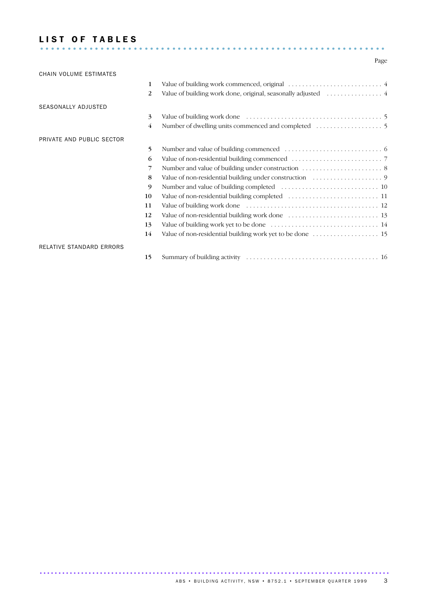## LIST OF TABLES ...............................................................

## Page

| CHAIN VOLUME ESTIMATES    |                |  |
|---------------------------|----------------|--|
|                           | 1              |  |
|                           | 2              |  |
| SEASONALLY ADJUSTED       |                |  |
|                           | 3              |  |
|                           | $\overline{4}$ |  |
| PRIVATE AND PUBLIC SECTOR |                |  |
|                           | 5              |  |
|                           | 6              |  |
|                           | 7              |  |
|                           | 8              |  |
|                           | 9              |  |
|                           | 10             |  |
|                           | 11             |  |
|                           | 12             |  |
|                           | 13             |  |
|                           | 14             |  |
| RELATIVE STANDARD ERRORS  |                |  |
|                           | 15             |  |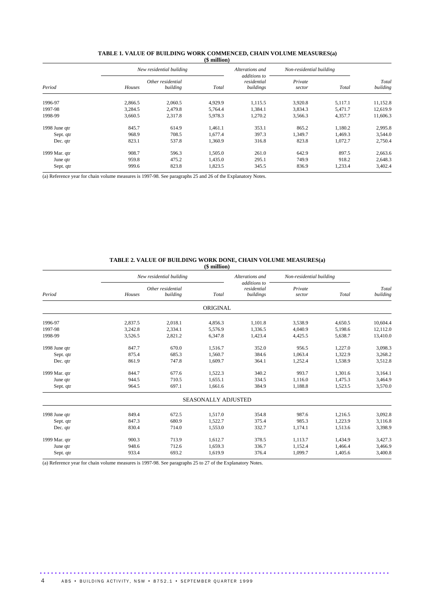|               |         | New residential building      |         | Alterations and                          | Non-residential building |         |                   |  |
|---------------|---------|-------------------------------|---------|------------------------------------------|--------------------------|---------|-------------------|--|
| Period        | Houses  | Other residential<br>building | Total   | additions to<br>residential<br>buildings | Private<br>sector        | Total   | Total<br>building |  |
| 1996-97       | 2,866.5 | 2,060.5                       | 4,929.9 | 1,115.5                                  | 3,920.8                  | 5,117.1 | 11,152.8          |  |
| 1997-98       | 3,284.5 | 2,479.8                       | 5,764.4 | 1,384.1                                  | 3,834.3                  | 5,471.7 | 12,619.9          |  |
| 1998-99       | 3,660.5 | 2.317.8                       | 5,978.3 | 1.270.2                                  | 3,566.3                  | 4.357.7 | 11,606.3          |  |
| 1998 June qtr | 845.7   | 614.9                         | 1,461.1 | 353.1                                    | 865.2                    | 1,180.2 | 2,995.8           |  |
| Sept. qtr     | 968.9   | 708.5                         | 1,677.4 | 397.3                                    | 1,349.7                  | 1.469.3 | 3,544.0           |  |
| Dec. qtr      | 823.1   | 537.8                         | 1,360.9 | 316.8                                    | 823.8                    | 1.072.7 | 2,750.4           |  |
| 1999 Mar. qtr | 908.7   | 596.3                         | 1.505.0 | 261.0                                    | 642.9                    | 897.5   | 2,663.6           |  |
| June qtr      | 959.8   | 475.2                         | 1,435.0 | 295.1                                    | 749.9                    | 918.2   | 2,648.3           |  |
| Sept. qtr     | 999.6   | 823.8                         | 1,823.5 | 345.5                                    | 836.9                    | 1,233.4 | 3,402.4           |  |

#### **TABLE 1. VALUE OF BUILDING WORK COMMENCED, CHAIN VOLUME MEASURES(a) (\$ million)**

(a) Reference year for chain volume measures is 1997-98. See paragraphs 25 and 26 of the Explanatory Notes.

#### **TABLE 2. VALUE OF BUILDING WORK DONE, CHAIN VOLUME MEASURES(a)**

|               |         |                               | $$$ million $)$            |                                          |                          |         |                   |
|---------------|---------|-------------------------------|----------------------------|------------------------------------------|--------------------------|---------|-------------------|
|               |         | New residential building      |                            | Alterations and                          | Non-residential building |         |                   |
| Period        | Houses  | Other residential<br>building | Total                      | additions to<br>residential<br>buildings | Private<br>sector        | Total   | Total<br>building |
|               |         |                               | ORIGINAL                   |                                          |                          |         |                   |
| 1996-97       | 2,837.5 | 2.018.1                       | 4,856.3                    | 1,101.8                                  | 3,538.9                  | 4,650.5 | 10,604.4          |
| 1997-98       | 3,242.8 | 2,334.1                       | 5,576.9                    | 1,336.5                                  | 4,040.9                  | 5,198.6 | 12,112.0          |
| 1998-99       | 3,526.5 | 2,821.2                       | 6,347.8                    | 1,423.4                                  | 4,425.5                  | 5,638.7 | 13,410.0          |
| 1998 June qtr | 847.7   | 670.0                         | 1,516.7                    | 352.0                                    | 956.5                    | 1,227.0 | 3,098.3           |
| Sept. qtr     | 875.4   | 685.3                         | 1,560.7                    | 384.6                                    | 1,063.4                  | 1,322.9 | 3,268.2           |
| Dec. qtr      | 861.9   | 747.8                         | 1,609.7                    | 364.1                                    | 1,252.4                  | 1,538.9 | 3,512.8           |
| 1999 Mar. qtr | 844.7   | 677.6                         | 1,522.3                    | 340.2                                    | 993.7                    | 1,301.6 | 3,164.1           |
| June qtr      | 944.5   | 710.5                         | 1,655.1                    | 334.5                                    | 1,116.0                  | 1,475.3 | 3,464.9           |
| Sept. qtr     | 964.5   | 697.1                         | 1,661.6                    | 384.9                                    | 1,188.8                  | 1,523.5 | 3,570.0           |
|               |         |                               | <b>SEASONALLY ADJUSTED</b> |                                          |                          |         |                   |
| 1998 June qtr | 849.4   | 672.5                         | 1,517.0                    | 354.8                                    | 987.6                    | 1,216.5 | 3,092.8           |
| Sept. qtr     | 847.3   | 680.9                         | 1,522.7                    | 375.4                                    | 985.3                    | 1,223.9 | 3,116.8           |
| Dec. qtr      | 830.4   | 714.0                         | 1,553.0                    | 332.7                                    | 1,174.1                  | 1,513.6 | 3,398.9           |
| 1999 Mar. qtr | 900.3   | 713.9                         | 1,612.7                    | 378.5                                    | 1,113.7                  | 1,434.9 | 3,427.3           |
| June qtr      | 948.6   | 712.6                         | 1,659.3                    | 336.7                                    | 1,152.4                  | 1,466.4 | 3,466.9           |
| Sept. qtr     | 933.4   | 693.2                         | 1,619.9                    | 376.4                                    | 1,099.7                  | 1,405.6 | 3,400.8           |

.............................................................................................

(a) Reference year for chain volume measures is 1997-98. See paragraphs 25 to 27 of the Explanatory Notes.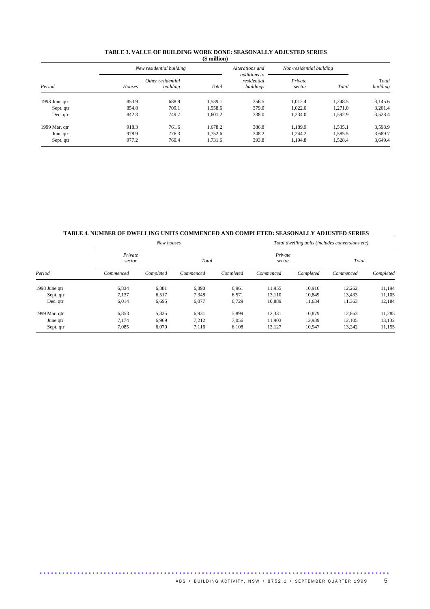|        |          | $1 + 2 - 2 - 3 - 7$                           |                          |                   |         |                          |
|--------|----------|-----------------------------------------------|--------------------------|-------------------|---------|--------------------------|
|        |          |                                               | Alterations and          |                   |         |                          |
| Houses | building | Total                                         | residential<br>buildings | Private<br>sector | Total   | Total<br>building        |
| 853.9  | 688.9    | 1.539.1                                       | 356.5                    | 1,012.4           | 1.248.5 | 3,145.6                  |
| 854.8  | 709.1    | 1,558.6                                       | 379.0                    | 1.022.0           | 1.271.0 | 3,201.4                  |
| 842.3  | 749.7    | 1,601.2                                       | 338.0                    | 1,234.0           | 1,592.9 | 3,528.4                  |
| 918.3  | 761.6    | 1,678.2                                       | 386.8                    | 1,189.9           | 1,535.1 | 3,598.9                  |
| 978.9  | 776.3    | 1.752.6                                       | 348.2                    | 1.244.2           | 1.585.5 | 3,689.7                  |
| 977.2  | 760.4    | 1,731.6                                       | 393.8                    | 1,194.8           | 1.528.4 | 3,649.4                  |
|        |          | New residential building<br>Other residential |                          | additions to      |         | Non-residential building |

#### **TABLE 3. VALUE OF BUILDING WORK DONE: SEASONALLY ADJUSTED SERIES (\$ million)**

## **TABLE 4. NUMBER OF DWELLING UNITS COMMENCED AND COMPLETED: SEASONALLY ADJUSTED SERIES**

| Period        |                   | New houses |           |           | Total dwelling units (includes conversions etc) |           |           |           |  |  |
|---------------|-------------------|------------|-----------|-----------|-------------------------------------------------|-----------|-----------|-----------|--|--|
|               | Private<br>sector |            | Total     |           | Private<br>sector                               |           | Total     |           |  |  |
|               | Commenced         | Completed  | Commenced | Completed | Commenced                                       | Completed | Commenced | Completed |  |  |
| 1998 June qtr | 6,834             | 6,881      | 6,890     | 6,961     | 11,955                                          | 10.916    | 12,262    | 11,194    |  |  |
| Sept. qtr     | 7,137             | 6,517      | 7,348     | 6,571     | 13.110                                          | 10,849    | 13,433    | 11,105    |  |  |
| Dec. qtr      | 6,014             | 6,695      | 6,077     | 6,729     | 10,889                                          | 11,634    | 11,363    | 12,184    |  |  |
| 1999 Mar. qtr | 6,853             | 5,825      | 6,931     | 5,899     | 12,331                                          | 10,879    | 12,863    | 11,285    |  |  |
| June qtr      | 7.174             | 6.969      | 7,212     | 7.056     | 11,903                                          | 12,939    | 12,105    | 13,132    |  |  |
| Sept. qtr     | 7,085             | 6.070      | 7.116     | 6.108     | 13,127                                          | 10,947    | 13,242    | 11,155    |  |  |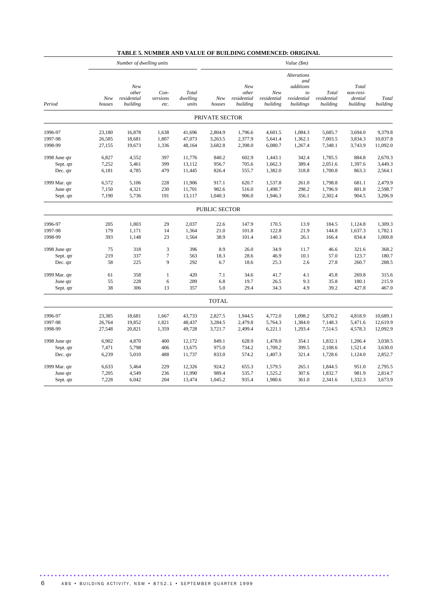|  |  | TABLE 5. NUMBER AND VALUE OF BUILDING COMMENCED: ORIGINAL |
|--|--|-----------------------------------------------------------|
|--|--|-----------------------------------------------------------|

|               |               | Number of dwelling units                |                           |                            | Value (\$m)    |                                         |                                |                                                                          |                                  |                                           |                   |  |
|---------------|---------------|-----------------------------------------|---------------------------|----------------------------|----------------|-----------------------------------------|--------------------------------|--------------------------------------------------------------------------|----------------------------------|-------------------------------------------|-------------------|--|
| Period        | New<br>houses | New<br>other<br>residential<br>building | Con-<br>versions<br>etc.  | Total<br>dwelling<br>units | New<br>houses  | New<br>other<br>residential<br>building | New<br>residential<br>building | <b>Alterations</b><br>and<br>additions<br>to<br>residential<br>buildings | Total<br>residential<br>building | Total<br>non-resi-<br>dential<br>building | Total<br>building |  |
|               |               |                                         |                           |                            | PRIVATE SECTOR |                                         |                                |                                                                          |                                  |                                           |                   |  |
| 1996-97       | 23,180        | 16,878                                  | 1,638                     | 41,696                     | 2,804.9        | 1,796.6                                 | 4,601.5                        | 1,084.3                                                                  | 5,685.7                          | 3,694.0                                   | 9,379.8           |  |
| 1997-98       | 26,585        | 18,681                                  | 1,807                     | 47,073                     | 3,263.5        | 2,377.9                                 | 5,641.4                        | 1,362.1                                                                  | 7,003.5                          | 3,834.3                                   | 10,837.8          |  |
| 1998-99       | 27,155        | 19,673                                  | 1,336                     | 48,164                     | 3,682.8        | 2,398.0                                 | 6,080.7                        | 1,267.4                                                                  | 7,348.1                          | 3,743.9                                   | 11,092.0          |  |
| 1998 June qtr | 6,827         | 4,552                                   | 397                       | 11,776                     | 840.2          | 602.9                                   | 1,443.1                        | 342.4                                                                    | 1,785.5                          | 884.8                                     | 2,670.3           |  |
| Sept. qtr     | 7,252         | 5,461                                   | 399                       | 13,112                     | 956.7          | 705.6                                   | 1,662.3                        | 389.4                                                                    | 2,051.6                          | 1,397.6                                   | 3,449.3           |  |
| Dec. qtr      | 6,181         | 4,785                                   | 479                       | 11,445                     | 826.4          | 555.7                                   | 1,382.0                        | 318.8                                                                    | 1,700.8                          | 863.3                                     | 2,564.1           |  |
| 1999 Mar. qtr | 6,572         | 5,106                                   | 228                       | 11,906                     | 917.1          | 620.7                                   | 1,537.8                        | 261.0                                                                    | 1,798.8                          | 681.1                                     | 2,479.9           |  |
| June qtr      | 7,150         | 4,321                                   | 230                       | 11,701                     | 982.6          | 516.0                                   | 1,498.7                        | 298.2                                                                    | 1,796.9                          | 801.8                                     | 2,598.7           |  |
| Sept. qtr     | 7,190         | 5,736                                   | 191                       | 13,117                     | 1,040.3        | 906.0                                   | 1,946.3                        | 356.1                                                                    | 2,302.4                          | 904.5                                     | 3,206.9           |  |
|               |               |                                         |                           |                            | PUBLIC SECTOR  |                                         |                                |                                                                          |                                  |                                           |                   |  |
| 1996-97       | 205           | 1,803                                   | 29                        | 2,037                      | 22.6           | 147.9                                   | 170.5                          | 13.9                                                                     | 184.5                            | 1,124.8                                   | 1,309.3           |  |
| 1997-98       | 179           | 1,171                                   | 14                        | 1,364                      | 21.0           | 101.8                                   | 122.8                          | 21.9                                                                     | 144.8                            | 1,637.3                                   | 1,782.1           |  |
| 1998-99       | 393           | 1,148                                   | 23                        | 1,564                      | 38.9           | 101.4                                   | 140.3                          | 26.1                                                                     | 166.4                            | 834.4                                     | 1,000.8           |  |
| 1998 June qtr | 75            | 318                                     | $\ensuremath{\mathsf{3}}$ | 396                        | 8.9            | 26.0                                    | 34.9                           | 11.7                                                                     | 46.6                             | 321.6                                     | 368.2             |  |
| Sept. qtr     | 219           | 337                                     | $\tau$                    | 563                        | 18.3           | 28.6                                    | 46.9                           | 10.1                                                                     | 57.0                             | 123.7                                     | 180.7             |  |
| Dec. qtr      | 58            | 225                                     | 9                         | 292                        | 6.7            | 18.6                                    | 25.3                           | 2.6                                                                      | 27.8                             | 260.7                                     | 288.5             |  |
| 1999 Mar. qtr | 61            | 358                                     | $\mathbf{1}$              | 420                        | 7.1            | 34.6                                    | 41.7                           | 4.1                                                                      | 45.8                             | 269.8                                     | 315.6             |  |
| June qtr      | 55            | 228                                     | 6                         | 289                        | 6.8            | 19.7                                    | 26.5                           | 9.3                                                                      | 35.8                             | 180.1                                     | 215.9             |  |
| Sept. qtr     | 38            | 306                                     | 13                        | 357                        | 5.0            | 29.4                                    | 34.3                           | 4.9                                                                      | 39.2                             | 427.8                                     | 467.0             |  |
|               |               |                                         |                           |                            | <b>TOTAL</b>   |                                         |                                |                                                                          |                                  |                                           |                   |  |
| 1996-97       | 23,385        | 18,681                                  | 1,667                     | 43,733                     | 2,827.5        | 1,944.5                                 | 4,772.0                        | 1,098.2                                                                  | 5,870.2                          | 4,818.9                                   | 10,689.1          |  |
| 1997-98       | 26,764        | 19,852                                  | 1,821                     | 48,437                     | 3,284.5        | 2,479.8                                 | 5,764.3                        | 1,384.0                                                                  | 7,148.3                          | 5,471.6                                   | 12,619.9          |  |
| 1998-99       | 27,548        | 20,821                                  | 1,359                     | 49,728                     | 3,721.7        | 2,499.4                                 | 6,221.1                        | 1,293.4                                                                  | 7,514.5                          | 4,578.3                                   | 12,092.9          |  |
| 1998 June qtr | 6,902         | 4,870                                   | 400                       | 12,172                     | 849.1          | 628.9                                   | 1,478.0                        | 354.1                                                                    | 1,832.1                          | 1,206.4                                   | 3,038.5           |  |
| Sept. qtr     | 7,471         | 5,798                                   | 406                       | 13,675                     | 975.0          | 734.2                                   | 1,709.2                        | 399.5                                                                    | 2,108.6                          | 1,521.4                                   | 3,630.0           |  |
| Dec. qtr      | 6,239         | 5,010                                   | 488                       | 11,737                     | 833.0          | 574.2                                   | 1,407.3                        | 321.4                                                                    | 1,728.6                          | 1,124.0                                   | 2,852.7           |  |
| 1999 Mar. qtr | 6,633         | 5,464                                   | 229                       | 12,326                     | 924.2          | 655.3                                   | 1,579.5                        | 265.1                                                                    | 1,844.5                          | 951.0                                     | 2,795.5           |  |
| June qtr      | 7,205         | 4,549                                   | 236                       | 11,990                     | 989.4          | 535.7                                   | 1,525.2                        | 307.6                                                                    | 1,832.7                          | 981.9                                     | 2,814.7           |  |
| Sept. qtr     | 7,228         | 6,042                                   | 204                       | 13,474                     | 1,045.2        | 935.4                                   | 1,980.6                        | 361.0                                                                    | 2,341.6                          | 1,332.3                                   | 3,673.9           |  |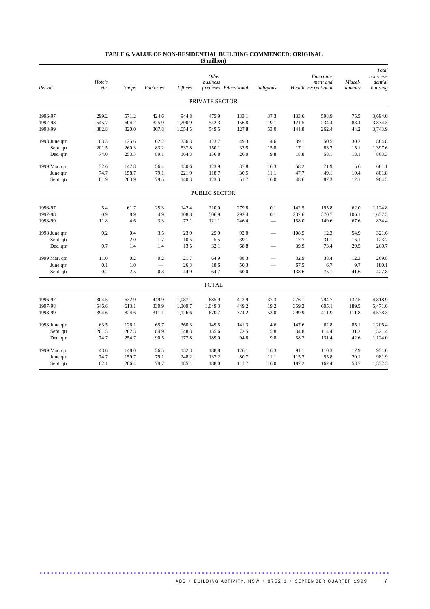#### **TABLE 6. VALUE OF NON-RESIDENTIAL BUILDING COMMENCED: ORIGINAL (\$ million)**

|               |        |              |           |                |                |                      |                          |       |                                 |         | Total                |
|---------------|--------|--------------|-----------|----------------|----------------|----------------------|--------------------------|-------|---------------------------------|---------|----------------------|
|               | Hotels |              |           |                | Other          |                      |                          |       | Entertain-                      | Miscel- | non-resi-<br>dential |
| Period        | etc.   | <b>Shops</b> | Factories | <b>Offices</b> | business       | premises Educational | Religious                |       | ment and<br>Health recreational | laneous | building             |
|               |        |              |           |                | PRIVATE SECTOR |                      |                          |       |                                 |         |                      |
| 1996-97       | 299.2  | 571.2        | 424.6     | 944.8          | 475.9          | 133.1                | 37.3                     | 133.6 | 598.9                           | 75.5    | 3.694.0              |
| 1997-98       | 545.7  | 604.2        | 325.9     | 1,200.9        | 542.3          | 156.8                | 19.1                     | 121.5 | 234.4                           | 83.4    | 3,834.3              |
| 1998-99       | 382.8  | 820.0        | 307.8     | 1,054.5        | 549.5          | 127.8                | 53.0                     | 141.8 | 262.4                           | 44.2    | 3,743.9              |
| 1998 June qtr | 63.3   | 125.6        | 62.2      | 336.3          | 123.7          | 49.3                 | 4.6                      | 39.1  | 50.5                            | 30.2    | 884.8                |
| Sept. qtr     | 201.5  | 260.3        | 83.2      | 537.8          | 150.1          | 33.5                 | 15.8                     | 17.1  | 83.3                            | 15.1    | 1,397.6              |
| Dec. qtr      | 74.0   | 253.3        | 89.1      | 164.3          | 156.8          | 26.0                 | 9.8                      | 18.8  | 58.1                            | 13.1    | 863.3                |
| 1999 Mar. qtr | 32.6   | 147.8        | 56.4      | 130.6          | 123.9          | 37.8                 | 16.3                     | 58.2  | 71.9                            | 5.6     | 681.1                |
| June qtr      | 74.7   | 158.7        | 79.1      | 221.9          | 118.7          | 30.5                 | 11.1                     | 47.7  | 49.1                            | 10.4    | 801.8                |
| Sept. qtr     | 61.9   | 283.9        | 79.5      | 140.3          | 123.3          | 51.7                 | 16.0                     | 48.6  | 87.3                            | 12.1    | 904.5                |
|               |        |              |           |                | PUBLIC SECTOR  |                      |                          |       |                                 |         |                      |
| 1996-97       | 5.4    | 61.7         | 25.3      | 142.4          | 210.0          | 279.8                | 0.1                      | 142.5 | 195.8                           | 62.0    | 1,124.8              |
| 1997-98       | 0.9    | 8.9          | 4.9       | 108.8          | 506.9          | 292.4                | 0.1                      | 237.6 | 370.7                           | 106.1   | 1,637.3              |
| 1998-99       | 11.8   | 4.6          | 3.3       | 72.1           | 121.1          | 246.4                | $\qquad \qquad -$        | 158.0 | 149.6                           | 67.6    | 834.4                |
| 1998 June qtr | 0.2    | 0.4          | 3.5       | 23.9           | 25.9           | 92.0                 | -                        | 108.5 | 12.3                            | 54.9    | 321.6                |
| Sept. qtr     |        | 2.0          | 1.7       | 10.5           | 5.5            | 39.1                 | $\overline{\phantom{0}}$ | 17.7  | 31.1                            | 16.1    | 123.7                |
| Dec. qtr      | 0.7    | 1.4          | 1.4       | 13.5           | 32.1           | 68.8                 |                          | 39.9  | 73.4                            | 29.5    | 260.7                |
| 1999 Mar. qtr | 11.0   | 0.2          | 0.2       | 21.7           | 64.9           | 88.3                 |                          | 32.9  | 38.4                            | 12.3    | 269.8                |
| June qtr      | 0.1    | 1.0          |           | 26.3           | 18.6           | 50.3                 |                          | 67.5  | 6.7                             | 9.7     | 180.1                |
| Sept. qtr     | 0.2    | 2.5          | 0.3       | 44.9           | 64.7           | 60.0                 |                          | 138.6 | 75.1                            | 41.6    | 427.8                |
|               |        |              |           |                | <b>TOTAL</b>   |                      |                          |       |                                 |         |                      |
| 1996-97       | 304.5  | 632.9        | 449.9     | 1,087.1        | 685.9          | 412.9                | 37.3                     | 276.1 | 794.7                           | 137.5   | 4,818.9              |
| 1997-98       | 546.6  | 613.1        | 330.9     | 1,309.7        | 1,049.3        | 449.2                | 19.2                     | 359.2 | 605.1                           | 189.5   | 5,471.6              |
| 1998-99       | 394.6  | 824.6        | 311.1     | 1,126.6        | 670.7          | 374.2                | 53.0                     | 299.9 | 411.9                           | 111.8   | 4,578.3              |
| 1998 June qtr | 63.5   | 126.1        | 65.7      | 360.3          | 149.5          | 141.3                | 4.6                      | 147.6 | 62.8                            | 85.1    | 1,206.4              |
| Sept. qtr     | 201.5  | 262.3        | 84.9      | 548.3          | 155.6          | 72.5                 | 15.8                     | 34.8  | 114.4                           | 31.2    | 1,521.4              |
| Dec. qtr      | 74.7   | 254.7        | 90.5      | 177.8          | 189.0          | 94.8                 | 9.8                      | 58.7  | 131.4                           | 42.6    | 1,124.0              |
| 1999 Mar. qtr | 43.6   | 148.0        | 56.5      | 152.3          | 188.8          | 126.1                | 16.3                     | 91.1  | 110.3                           | 17.9    | 951.0                |
| June qtr      | 74.7   | 159.7        | 79.1      | 248.2          | 137.2          | 80.7                 | 11.1                     | 115.3 | 55.8                            | 20.1    | 981.9                |
| Sept. qtr     | 62.1   | 286.4        | 79.7      | 185.1          | 188.0          | 111.7                | 16.0                     | 187.2 | 162.4                           | 53.7    | 1,332.3              |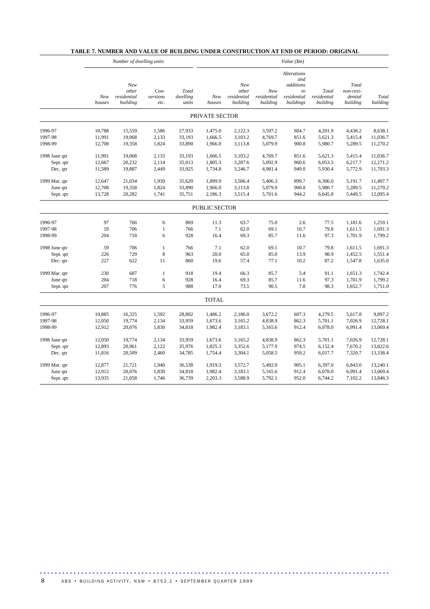|               |               | Number of dwelling units                |                          |                            | Value (\$m)          |                                         |                                |                                                                          |                                  |                                           |                   |
|---------------|---------------|-----------------------------------------|--------------------------|----------------------------|----------------------|-----------------------------------------|--------------------------------|--------------------------------------------------------------------------|----------------------------------|-------------------------------------------|-------------------|
|               | New<br>houses | New<br>other<br>residential<br>building | Con-<br>versions<br>etc. | Total<br>dwelling<br>units | New<br>houses        | New<br>other<br>residential<br>building | New<br>residential<br>building | <b>Alterations</b><br>and<br>additions<br>to<br>residential<br>buildings | Total<br>residential<br>building | Total<br>non-resi-<br>dential<br>building | Total<br>building |
|               |               |                                         |                          |                            | PRIVATE SECTOR       |                                         |                                |                                                                          |                                  |                                           |                   |
| 1996-97       | 10,788        | 15,559                                  | 1,586                    | 27,933                     | 1,475.0              | 2,122.3                                 | 3,597.2                        | 604.7                                                                    | 4,201.9                          | 4,436.2                                   | 8,638.1           |
| 1997-98       | 11,991        | 19,068                                  | 2,133                    | 33,193                     | 1,666.5              | 3,103.2                                 | 4,769.7                        | 851.6                                                                    | 5,621.3                          | 5,415.4                                   | 11,036.7          |
| 1998-99       | 12,708        | 19,358                                  | 1,824                    | 33,890                     | 1,966.0              | 3,113.8                                 | 5,079.9                        | 900.8                                                                    | 5,980.7                          | 5,289.5                                   | 11,270.2          |
| 1998 June qtr | 11,991        | 19,068                                  | 2,133                    | 33,193                     | 1,666.5              | 3,103.2                                 | 4,769.7                        | 851.6                                                                    | 5,621.3                          | 5,415.4                                   | 11,036.7          |
| Sept. qtr     | 12,667        | 20,232                                  | 2,114                    | 35,013                     | 1,805.3              | 3,287.6                                 | 5,092.9                        | 960.6                                                                    | 6,053.5                          | 6,217.7                                   | 12,271.2          |
| Dec. qtr      | 11,589        | 19,887                                  | 2,449                    | 33,925                     | 1,734.8              | 3,246.7                                 | 4,981.4                        | 949.0                                                                    | 5,930.4                          | 5,772.9                                   | 11,703.3          |
| 1999 Mar. qtr | 12,647        | 21,034                                  | 1,939                    | 35,620                     | 1,899.9              | 3,506.4                                 | 5,406.3                        | 899.7                                                                    | 6,306.0                          | 5,191.7                                   | 11,497.7          |
| June qtr      | 12,708        | 19,358                                  | 1,824                    | 33,890                     | 1,966.0              | 3,113.8                                 | 5,079.9                        | 900.8                                                                    | 5,980.7                          | 5,289.5                                   | 11,270.2          |
| Sept. qtr     | 13,728        | 20,282                                  | 1,741                    | 35,751                     | 2,186.3              | 3,515.4                                 | 5,701.6                        | 944.2                                                                    | 6,645.8                          | 5,449.5                                   | 12,095.4          |
|               |               |                                         |                          |                            | <b>PUBLIC SECTOR</b> |                                         |                                |                                                                          |                                  |                                           |                   |
| 1996-97       | 97            | 766                                     | 6                        | 869                        | 11.3                 | 63.7                                    | 75.0                           | 2.6                                                                      | 77.5                             | 1,181.6                                   | 1,259.1           |
| 1997-98       | 59            | 706                                     | $\mathbf{1}$             | 766                        | 7.1                  | 62.0                                    | 69.1                           | 10.7                                                                     | 79.8                             | 1,611.5                                   | 1,691.3           |
| 1998-99       | 204           | 718                                     | 6                        | 928                        | 16.4                 | 69.3                                    | 85.7                           | 11.6                                                                     | 97.3                             | 1,701.9                                   | 1,799.2           |
| 1998 June qtr | 59            | 706                                     | $\mathbf{1}$             | 766                        | 7.1                  | 62.0                                    | 69.1                           | 10.7                                                                     | 79.8                             | 1,611.5                                   | 1,691.3           |
| Sept. qtr     | 226           | 729                                     | 8                        | 963                        | 20.0                 | 65.0                                    | 85.0                           | 13.9                                                                     | 98.9                             | 1,452.5                                   | 1,551.4           |
| Dec. qtr      | 227           | 622                                     | 11                       | 860                        | 19.6                 | 57.4                                    | 77.1                           | 10.2                                                                     | 87.2                             | 1,547.8                                   | 1,635.0           |
| 1999 Mar. qtr | 230           | 687                                     | $\mathbf{1}$             | 918                        | 19.4                 | 66.3                                    | 85.7                           | 5.4                                                                      | 91.1                             | 1,651.3                                   | 1,742.4           |
| June qtr      | 204           | 718                                     | $\sqrt{6}$               | 928                        | 16.4                 | 69.3                                    | 85.7                           | 11.6                                                                     | 97.3                             | 1,701.9                                   | 1,799.2           |
| Sept. qtr     | 207           | 776                                     | 5                        | 988                        | 17.0                 | 73.5                                    | 90.5                           | 7.8                                                                      | 98.3                             | 1,652.7                                   | 1,751.0           |
|               |               |                                         |                          |                            | <b>TOTAL</b>         |                                         |                                |                                                                          |                                  |                                           |                   |
| 1996-97       | 10,885        | 16,325                                  | 1,592                    | 28,802                     | 1,486.2              | 2,186.0                                 | 3,672.2                        | 607.3                                                                    | 4,279.5                          | 5,617.8                                   | 9,897.2           |
| 1997-98       | 12,050        | 19,774                                  | 2,134                    | 33,959                     | 1,673.6              | 3,165.2                                 | 4,838.9                        | 862.3                                                                    | 5,701.1                          | 7,026.9                                   | 12,728.1          |
| 1998-99       | 12,912        | 20,076                                  | 1,830                    | 34,818                     | 1,982.4              | 3,183.1                                 | 5,165.6                        | 912.4                                                                    | 6,078.0                          | 6,991.4                                   | 13,069.4          |
| 1998 June qtr | 12,050        | 19,774                                  | 2,134                    | 33,959                     | 1,673.6              | 3,165.2                                 | 4,838.9                        | 862.3                                                                    | 5,701.1                          | 7,026.9                                   | 12,728.1          |
| Sept. qtr     | 12,893        | 20,961                                  | 2,122                    | 35,976                     | 1,825.3              | 3,352.6                                 | 5,177.9                        | 974.5                                                                    | 6,152.4                          | 7,670.2                                   | 13,822.6          |
| Dec. qtr      | 11,816        | 20,509                                  | 2,460                    | 34,785                     | 1,754.4              | 3,304.1                                 | 5,058.5                        | 959.2                                                                    | 6,017.7                          | 7,320.7                                   | 13,338.4          |
| 1999 Mar. qtr | 12,877        | 21,721                                  | 1,940                    | 36,538                     | 1,919.3              | 3,572.7                                 | 5,492.0                        | 905.1                                                                    | 6,397.0                          | 6,843.0                                   | 13,240.1          |
| June qtr      | 12,912        | 20,076                                  | 1,830                    | 34,818                     | 1,982.4              | 3,183.1                                 | 5,165.6                        | 912.4                                                                    | 6,078.0                          | 6,991.4                                   | 13,069.4          |
| Sept. qtr     | 13,935        | 21,058                                  | 1,746                    | 36,739                     | 2,203.3              | 3,588.9                                 | 5,792.1                        | 952.0                                                                    | 6,744.2                          | 7,102.2                                   | 13,846.3          |

## **TABLE 7. NUMBER AND VALUE OF BUILDING UNDER CONSTRUCTION AT END OF PERIOD: ORIGINAL**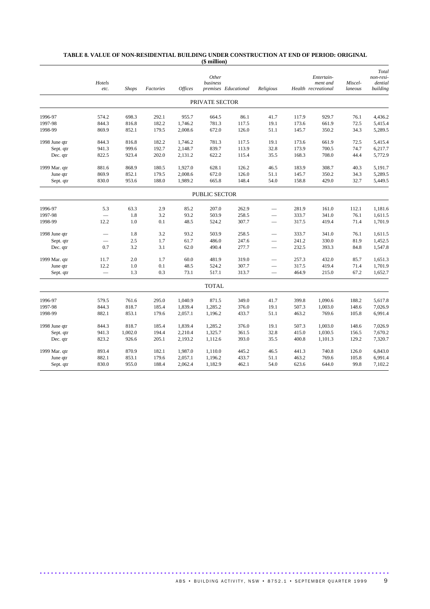|               | Hotels<br>etc. | <b>Shops</b> | Factories | <b>Offices</b> | Other<br>business | premises Educational | Religious                |       | Entertain-<br>ment and<br>Health recreational | Miscel-<br>laneous | Total<br>non-resi-<br>dential<br>building |
|---------------|----------------|--------------|-----------|----------------|-------------------|----------------------|--------------------------|-------|-----------------------------------------------|--------------------|-------------------------------------------|
|               |                |              |           |                | PRIVATE SECTOR    |                      |                          |       |                                               |                    |                                           |
| 1996-97       | 574.2          | 698.3        | 292.1     | 955.7          | 664.5             | 86.1                 | 41.7                     | 117.9 | 929.7                                         | 76.1               | 4,436.2                                   |
| 1997-98       | 844.3          | 816.8        | 182.2     | 1,746.2        | 781.3             | 117.5                | 19.1                     | 173.6 | 661.9                                         | 72.5               | 5,415.4                                   |
| 1998-99       | 869.9          | 852.1        | 179.5     | 2,008.6        | 672.0             | 126.0                | 51.1                     | 145.7 | 350.2                                         | 34.3               | 5,289.5                                   |
| 1998 June qtr | 844.3          | 816.8        | 182.2     | 1,746.2        | 781.3             | 117.5                | 19.1                     | 173.6 | 661.9                                         | 72.5               | 5,415.4                                   |
| Sept. qtr     | 941.3          | 999.6        | 192.7     | 2,148.7        | 839.7             | 113.9                | 32.8                     | 173.9 | 700.5                                         | 74.7               | 6,217.7                                   |
| Dec. qtr      | 822.5          | 923.4        | 202.0     | 2,131.2        | 622.2             | 115.4                | 35.5                     | 168.3 | 708.0                                         | 44.4               | 5,772.9                                   |
| 1999 Mar. qtr | 881.6          | 868.9        | 180.5     | 1,927.0        | 628.1             | 126.2                | 46.5                     | 183.9 | 308.7                                         | 40.3               | 5,191.7                                   |
| June qtr      | 869.9          | 852.1        | 179.5     | 2,008.6        | 672.0             | 126.0                | 51.1                     | 145.7 | 350.2                                         | 34.3               | 5,289.5                                   |
| Sept. qtr     | 830.0          | 953.6        | 188.0     | 1,989.2        | 665.8             | 148.4                | 54.0                     | 158.8 | 429.0                                         | 32.7               | 5,449.5                                   |
|               |                |              |           |                | PUBLIC SECTOR     |                      |                          |       |                                               |                    |                                           |
| 1996-97       | 5.3            | 63.3         | 2.9       | 85.2           | 207.0             | 262.9                |                          | 281.9 | 161.0                                         | 112.1              | 1,181.6                                   |
| 1997-98       |                | 1.8          | 3.2       | 93.2           | 503.9             | 258.5                |                          | 333.7 | 341.0                                         | 76.1               | 1,611.5                                   |
| 1998-99       | 12.2           | 1.0          | 0.1       | 48.5           | 524.2             | 307.7                | $\qquad \qquad -$        | 317.5 | 419.4                                         | 71.4               | 1,701.9                                   |
| 1998 June qtr |                | 1.8          | 3.2       | 93.2           | 503.9             | 258.5                | $\overline{\phantom{0}}$ | 333.7 | 341.0                                         | 76.1               | 1,611.5                                   |
| Sept. qtr     |                | 2.5          | 1.7       | 61.7           | 486.0             | 247.6                | $\qquad \qquad$          | 241.2 | 330.0                                         | 81.9               | 1,452.5                                   |
| Dec. qtr      | 0.7            | 3.2          | 3.1       | 62.0           | 490.4             | 277.7                |                          | 232.5 | 393.3                                         | 84.8               | 1,547.8                                   |
| 1999 Mar. qtr | 11.7           | 2.0          | 1.7       | 60.0           | 481.9             | 319.0                | $\overline{\phantom{0}}$ | 257.3 | 432.0                                         | 85.7               | 1,651.3                                   |
| June qtr      | 12.2           | 1.0          | 0.1       | 48.5           | 524.2             | 307.7                | $\qquad \qquad$          | 317.5 | 419.4                                         | 71.4               | 1,701.9                                   |
| Sept. qtr     |                | 1.3          | 0.3       | 73.1           | 517.1             | 313.7                | $\overline{\phantom{0}}$ | 464.9 | 215.0                                         | 67.2               | 1,652.7                                   |
|               |                |              |           |                | <b>TOTAL</b>      |                      |                          |       |                                               |                    |                                           |
| 1996-97       | 579.5          | 761.6        | 295.0     | 1,040.9        | 871.5             | 349.0                | 41.7                     | 399.8 | 1,090.6                                       | 188.2              | 5,617.8                                   |
| 1997-98       | 844.3          | 818.7        | 185.4     | 1,839.4        | 1,285.2           | 376.0                | 19.1                     | 507.3 | 1,003.0                                       | 148.6              | 7,026.9                                   |
| 1998-99       | 882.1          | 853.1        | 179.6     | 2,057.1        | 1,196.2           | 433.7                | 51.1                     | 463.2 | 769.6                                         | 105.8              | 6,991.4                                   |
| 1998 June qtr | 844.3          | 818.7        | 185.4     | 1,839.4        | 1,285.2           | 376.0                | 19.1                     | 507.3 | 1,003.0                                       | 148.6              | 7,026.9                                   |
| Sept. qtr     | 941.3          | 1,002.0      | 194.4     | 2,210.4        | 1,325.7           | 361.5                | 32.8                     | 415.0 | 1,030.5                                       | 156.5              | 7,670.2                                   |
| Dec. qtr      | 823.2          | 926.6        | 205.1     | 2,193.2        | 1,112.6           | 393.0                | 35.5                     | 400.8 | 1,101.3                                       | 129.2              | 7,320.7                                   |
| 1999 Mar. qtr | 893.4          | 870.9        | 182.1     | 1,987.0        | 1,110.0           | 445.2                | 46.5                     | 441.3 | 740.8                                         | 126.0              | 6,843.0                                   |
| June qtr      | 882.1          | 853.1        | 179.6     | 2,057.1        | 1,196.2           | 433.7                | 51.1                     | 463.2 | 769.6                                         | 105.8              | 6,991.4                                   |
| Sept. qtr     | 830.0          | 955.0        | 188.4     | 2,062.4        | 1,182.9           | 462.1                | 54.0                     | 623.6 | 644.0                                         | 99.8               | 7,102.2                                   |

## **TABLE 8. VALUE OF NON-RESIDENTIAL BUILDING UNDER CONSTRUCTION AT END OF PERIOD: ORIGINAL (\$ million)**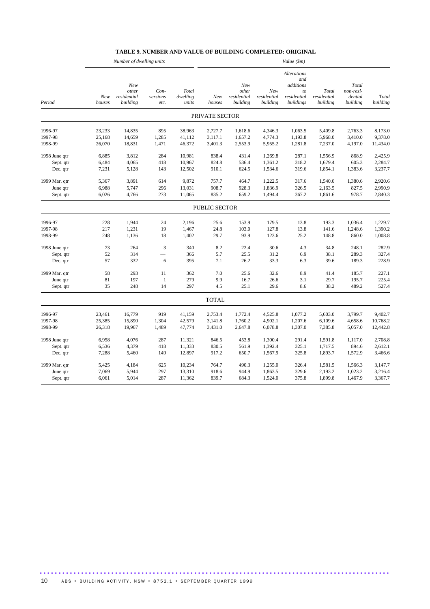## **TABLE 9. NUMBER AND VALUE OF BUILDING COMPLETED: ORIGINAL**

|               | Number of dwelling units |                                         |                          |                            | Value (\$m)    |                                         |                                |                                                                          |                                  |                                           |                   |
|---------------|--------------------------|-----------------------------------------|--------------------------|----------------------------|----------------|-----------------------------------------|--------------------------------|--------------------------------------------------------------------------|----------------------------------|-------------------------------------------|-------------------|
| Period        | New<br>houses            | New<br>other<br>residential<br>building | Con-<br>versions<br>etc. | Total<br>dwelling<br>units | New<br>houses  | New<br>other<br>residential<br>building | New<br>residential<br>building | <b>Alterations</b><br>and<br>additions<br>to<br>residential<br>buildings | Total<br>residential<br>building | Total<br>non-resi-<br>dential<br>building | Total<br>building |
|               |                          |                                         |                          |                            | PRIVATE SECTOR |                                         |                                |                                                                          |                                  |                                           |                   |
| 1996-97       | 23,233                   | 14,835                                  | 895                      | 38,963                     | 2,727.7        | 1,618.6                                 | 4,346.3                        | 1,063.5                                                                  | 5,409.8                          | 2,763.3                                   | 8,173.0           |
| 1997-98       | 25,168                   | 14,659                                  | 1,285                    | 41,112                     | 3,117.1        | 1,657.2                                 | 4,774.3                        | 1,193.8                                                                  | 5,968.0                          | 3,410.0                                   | 9,378.0           |
| 1998-99       | 26,070                   | 18,831                                  | 1,471                    | 46,372                     | 3,401.3        | 2,553.9                                 | 5,955.2                        | 1,281.8                                                                  | 7,237.0                          | 4,197.0                                   | 11,434.0          |
| 1998 June qtr | 6,885                    | 3,812                                   | 284                      | 10,981                     | 838.4          | 431.4                                   | 1,269.8                        | 287.1                                                                    | 1,556.9                          | 868.9                                     | 2,425.9           |
| Sept. qtr     | 6,484                    | 4,065                                   | 418                      | 10,967                     | 824.8          | 536.4                                   | 1,361.2                        | 318.2                                                                    | 1,679.4                          | 605.3                                     | 2,284.7           |
| Dec. qtr      | 7,231                    | 5,128                                   | 143                      | 12,502                     | 910.1          | 624.5                                   | 1,534.6                        | 319.6                                                                    | 1,854.1                          | 1,383.6                                   | 3,237.7           |
| 1999 Mar. qtr | 5,367                    | 3,891                                   | 614                      | 9,872                      | 757.7          | 464.7                                   | 1,222.5                        | 317.6                                                                    | 1,540.0                          | 1,380.6                                   | 2,920.6           |
| June qtr      | 6,988                    | 5,747                                   | 296                      | 13,031                     | 908.7          | 928.3                                   | 1,836.9                        | 326.5                                                                    | 2,163.5                          | 827.5                                     | 2,990.9           |
| Sept. qtr     | 6,026                    | 4,766                                   | 273                      | 11,065                     | 835.2          | 659.2                                   | 1,494.4                        | 367.2                                                                    | 1,861.6                          | 978.7                                     | 2,840.3           |
|               |                          |                                         |                          |                            | PUBLIC SECTOR  |                                         |                                |                                                                          |                                  |                                           |                   |
| 1996-97       | 228                      | 1,944                                   | 24                       | 2,196                      | 25.6           | 153.9                                   | 179.5                          | 13.8                                                                     | 193.3                            | 1,036.4                                   | 1,229.7           |
| 1997-98       | 217                      | 1,231                                   | 19                       | 1,467                      | 24.8           | 103.0                                   | 127.8                          | 13.8                                                                     | 141.6                            | 1,248.6                                   | 1,390.2           |
| 1998-99       | 248                      | 1,136                                   | 18                       | 1,402                      | 29.7           | 93.9                                    | 123.6                          | 25.2                                                                     | 148.8                            | 860.0                                     | 1,008.8           |
| 1998 June qtr | 73                       | 264                                     | 3                        | 340                        | 8.2            | 22.4                                    | 30.6                           | 4.3                                                                      | 34.8                             | 248.1                                     | 282.9             |
| Sept. qtr     | 52                       | 314                                     | $\overline{\phantom{0}}$ | 366                        | 5.7            | 25.5                                    | 31.2                           | 6.9                                                                      | 38.1                             | 289.3                                     | 327.4             |
| Dec. qtr      | 57                       | 332                                     | 6                        | 395                        | 7.1            | 26.2                                    | 33.3                           | 6.3                                                                      | 39.6                             | 189.3                                     | 228.9             |
| 1999 Mar. qtr | 58                       | 293                                     | 11                       | 362                        | 7.0            | 25.6                                    | 32.6                           | 8.9                                                                      | 41.4                             | 185.7                                     | 227.1             |
| June qtr      | 81                       | 197                                     | $\mathbf{1}$             | 279                        | 9.9            | 16.7                                    | 26.6                           | 3.1                                                                      | 29.7                             | 195.7                                     | 225.4             |
| Sept. qtr     | 35                       | 248                                     | 14                       | 297                        | 4.5            | 25.1                                    | 29.6                           | 8.6                                                                      | 38.2                             | 489.2                                     | 527.4             |
|               |                          |                                         |                          |                            | <b>TOTAL</b>   |                                         |                                |                                                                          |                                  |                                           |                   |
| 1996-97       | 23,461                   | 16,779                                  | 919                      | 41,159                     | 2,753.4        | 1,772.4                                 | 4,525.8                        | 1,077.2                                                                  | 5,603.0                          | 3,799.7                                   | 9.402.7           |
| 1997-98       | 25,385                   | 15,890                                  | 1,304                    | 42,579                     | 3,141.8        | 1,760.2                                 | 4,902.1                        | 1,207.6                                                                  | 6,109.6                          | 4,658.6                                   | 10,768.2          |
| 1998-99       | 26,318                   | 19,967                                  | 1,489                    | 47,774                     | 3,431.0        | 2,647.8                                 | 6,078.8                        | 1,307.0                                                                  | 7,385.8                          | 5,057.0                                   | 12,442.8          |
| 1998 June qtr | 6,958                    | 4,076                                   | 287                      | 11,321                     | 846.5          | 453.8                                   | 1,300.4                        | 291.4                                                                    | 1,591.8                          | 1,117.0                                   | 2,708.8           |
| Sept. qtr     | 6,536                    | 4,379                                   | 418                      | 11,333                     | 830.5          | 561.9                                   | 1,392.4                        | 325.1                                                                    | 1,717.5                          | 894.6                                     | 2,612.1           |
| Dec. qtr      | 7,288                    | 5,460                                   | 149                      | 12,897                     | 917.2          | 650.7                                   | 1,567.9                        | 325.8                                                                    | 1,893.7                          | 1,572.9                                   | 3,466.6           |
| 1999 Mar. qtr | 5,425                    | 4,184                                   | 625                      | 10,234                     | 764.7          | 490.3                                   | 1,255.0                        | 326.4                                                                    | 1,581.5                          | 1,566.3                                   | 3,147.7           |
| June qtr      | 7,069                    | 5,944                                   | 297                      | 13,310                     | 918.6          | 944.9                                   | 1,863.5                        | 329.6                                                                    | 2,193.2                          | 1,023.2                                   | 3,216.4           |
| Sept. qtr     | 6,061                    | 5,014                                   | 287                      | 11,362                     | 839.7          | 684.3                                   | 1,524.0                        | 375.8                                                                    | 1,899.8                          | 1,467.9                                   | 3,367.7           |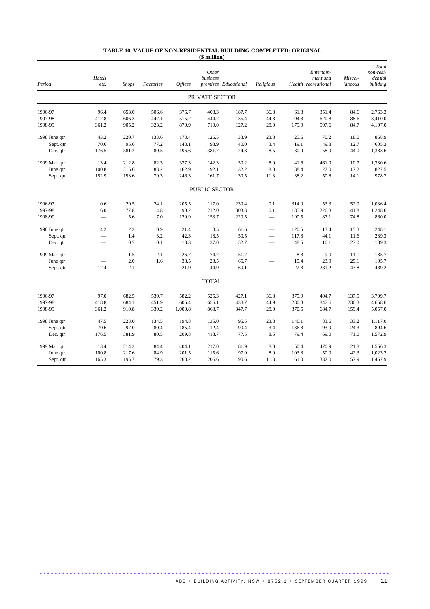#### **TABLE 10. VALUE OF NON-RESIDENTIAL BUILDING COMPLETED: ORIGINAL (\$ million)**

| Period        | Hotels<br>etc.           | <b>Shops</b> | Factories                | Offices | Other<br>business | premises Educational | Religious                |       | Entertain-<br>ment and<br>Health recreational | Miscel-<br>laneous | Total<br>non-resi-<br>dential<br>building |
|---------------|--------------------------|--------------|--------------------------|---------|-------------------|----------------------|--------------------------|-------|-----------------------------------------------|--------------------|-------------------------------------------|
|               |                          |              |                          |         | PRIVATE SECTOR    |                      |                          |       |                                               |                    |                                           |
| 1996-97       | 96.4                     | 653.0        | 506.6                    | 376.7   | 408.3             | 187.7                | 36.8                     | 61.8  | 351.4                                         | 84.6               | 2,763.3                                   |
| 1997-98       | 412.8                    | 606.3        | 447.1                    | 515.2   | 444.2             | 135.4                | 44.8                     | 94.8  | 620.8                                         | 88.6               | 3,410.0                                   |
| 1998-99       | 361.2                    | 905.2        | 323.2                    | 879.9   | 710.0             | 127.2                | 28.0                     | 179.9 | 597.6                                         | 84.7               | 4,197.0                                   |
| 1998 June qtr | 43.2                     | 220.7        | 133.6                    | 173.4   | 126.5             | 33.9                 | 23.8                     | 25.6  | 70.2                                          | 18.0               | 868.9                                     |
| Sept. qtr     | 70.6                     | 95.6         | 77.2                     | 143.1   | 93.9              | 40.0                 | 3.4                      | 19.1  | 49.8                                          | 12.7               | 605.3                                     |
| Dec. qtr      | 176.5                    | 381.2        | 80.5                     | 196.6   | 381.7             | 24.8                 | 8.5                      | 30.9  | 58.9                                          | 44.0               | 1,383.6                                   |
| 1999 Mar. qtr | 13.4                     | 212.8        | 82.3                     | 377.3   | 142.3             | 30.2                 | $\ \ 8.0$                | 41.6  | 461.9                                         | 10.7               | 1,380.6                                   |
| June qtr      | 100.8                    | 215.6        | 83.2                     | 162.9   | 92.1              | 32.2                 | 8.0                      | 88.4  | 27.0                                          | 17.2               | 827.5                                     |
| Sept. qtr     | 152.9                    | 193.6        | 79.3                     | 246.3   | 161.7             | 30.5                 | 11.3                     | 38.2  | 50.8                                          | 14.1               | 978.7                                     |
|               |                          |              |                          |         | PUBLIC SECTOR     |                      |                          |       |                                               |                    |                                           |
| 1996-97       | 0.6                      | 29.5         | 24.1                     | 205.5   | 117.0             | 239.4                | 0.1                      | 314.0 | 53.3                                          | 52.9               | 1,036.4                                   |
| 1997-98       | 6.0                      | 77.8         | 4.8                      | 90.2    | 212.0             | 303.3                | 0.1                      | 185.9 | 226.8                                         | 141.8              | 1,248.6                                   |
| 1998-99       |                          | 5.6          | 7.0                      | 120.9   | 153.7             | 220.5                | $\overline{\phantom{0}}$ | 190.5 | 87.1                                          | 74.8               | 860.0                                     |
| 1998 June qtr | 4.2                      | 2.3          | 0.9                      | 21.4    | 8.5               | 61.6                 |                          | 120.5 | 13.4                                          | 15.3               | 248.1                                     |
| Sept. qtr     |                          | 1.4          | 3.2                      | 42.3    | 18.5              | 50.5                 | $\overline{\phantom{0}}$ | 117.8 | 44.1                                          | 11.6               | 289.3                                     |
| Dec. qtr      |                          | 0.7          | 0.1                      | 13.3    | 37.0              | 52.7                 |                          | 48.5  | 10.1                                          | 27.0               | 189.3                                     |
| 1999 Mar. qtr | -                        | 1.5          | 2.1                      | 26.7    | 74.7              | 51.7                 | -                        | 8.8   | 9.0                                           | 11.1               | 185.7                                     |
| June qtr      | $\overline{\phantom{0}}$ | 2.0          | 1.6                      | 38.5    | 23.5              | 65.7                 | $\overline{\phantom{0}}$ | 15.4  | 23.9                                          | 25.1               | 195.7                                     |
| Sept. qtr     | 12.4                     | 2.1          | $\overline{\phantom{0}}$ | 21.9    | 44.9              | 60.1                 | $\overline{\phantom{0}}$ | 22.8  | 281.2                                         | 43.8               | 489.2                                     |
|               |                          |              |                          |         | <b>TOTAL</b>      |                      |                          |       |                                               |                    |                                           |
| 1996-97       | 97.0                     | 682.5        | 530.7                    | 582.2   | 525.3             | 427.1                | 36.8                     | 375.9 | 404.7                                         | 137.5              | 3,799.7                                   |
| 1997-98       | 418.8                    | 684.1        | 451.9                    | 605.4   | 656.1             | 438.7                | 44.9                     | 280.8 | 847.6                                         | 230.3              | 4,658.6                                   |
| 1998-99       | 361.2                    | 910.8        | 330.2                    | 1,000.8 | 863.7             | 347.7                | 28.0                     | 370.5 | 684.7                                         | 159.4              | 5,057.0                                   |
| 1998 June qtr | 47.5                     | 223.0        | 134.5                    | 194.8   | 135.0             | 95.5                 | 23.8                     | 146.1 | 83.6                                          | 33.2               | 1,117.0                                   |
| Sept. qtr     | 70.6                     | 97.0         | 80.4                     | 185.4   | 112.4             | 90.4                 | 3.4                      | 136.8 | 93.9                                          | 24.3               | 894.6                                     |
| Dec. qtr      | 176.5                    | 381.9        | 80.5                     | 209.8   | 418.7             | 77.5                 | 8.5                      | 79.4  | 69.0                                          | 71.0               | 1,572.9                                   |
| 1999 Mar. qtr | 13.4                     | 214.3        | 84.4                     | 404.1   | 217.0             | 81.9                 | 8.0                      | 50.4  | 470.9                                         | 21.8               | 1,566.3                                   |
| June qtr      | 100.8                    | 217.6        | 84.9                     | 201.5   | 115.6             | 97.9                 | 8.0                      | 103.8 | 50.9                                          | 42.3               | 1,023.2                                   |
| Sept. qtr     | 165.3                    | 195.7        | 79.3                     | 268.2   | 206.6             | 90.6                 | 11.3                     | 61.0  | 332.0                                         | 57.9               | 1,467.9                                   |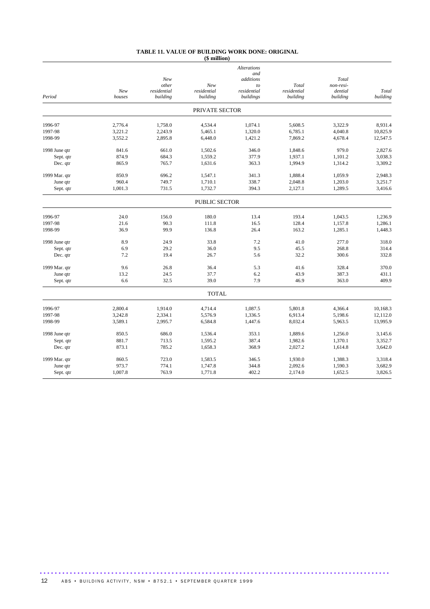#### **TABLE 11. VALUE OF BUILDING WORK DONE: ORIGINAL (\$ million)**

|               |         |              |                | <b>Alterations</b> |             |                    |          |
|---------------|---------|--------------|----------------|--------------------|-------------|--------------------|----------|
|               |         |              |                | and                |             |                    |          |
|               |         | New<br>other | New            | additions          | Total       | Total<br>non-resi- |          |
|               | New     | residential  | residential    | to<br>residential  | residential | dential            | Total    |
| Period        | houses  | building     | building       | buildings          | building    | building           | building |
|               |         |              | PRIVATE SECTOR |                    |             |                    |          |
| 1996-97       | 2.776.4 | 1,758.0      | 4,534.4        | 1,074.1            | 5.608.5     | 3.322.9            | 8.931.4  |
| 1997-98       | 3,221.2 | 2,243.9      | 5,465.1        | 1,320.0            | 6,785.1     | 4,040.8            | 10,825.9 |
| 1998-99       | 3,552.2 | 2,895.8      | 6,448.0        | 1,421.2            | 7,869.2     | 4,678.4            | 12,547.5 |
| 1998 June qtr | 841.6   | 661.0        | 1,502.6        | 346.0              | 1,848.6     | 979.0              | 2,827.6  |
| Sept. qtr     | 874.9   | 684.3        | 1,559.2        | 377.9              | 1,937.1     | 1,101.2            | 3,038.3  |
| Dec. qtr      | 865.9   | 765.7        | 1,631.6        | 363.3              | 1,994.9     | 1,314.2            | 3,309.2  |
| 1999 Mar. qtr | 850.9   | 696.2        | 1,547.1        | 341.3              | 1.888.4     | 1,059.9            | 2.948.3  |
| June qtr      | 960.4   | 749.7        | 1,710.1        | 338.7              | 2,048.8     | 1,203.0            | 3,251.7  |
| Sept. qtr     | 1,001.3 | 731.5        | 1,732.7        | 394.3              | 2,127.1     | 1,289.5            | 3,416.6  |
|               |         |              | PUBLIC SECTOR  |                    |             |                    |          |
| 1996-97       | 24.0    | 156.0        | 180.0          | 13.4               | 193.4       | 1,043.5            | 1,236.9  |
| 1997-98       | 21.6    | 90.3         | 111.8          | 16.5               | 128.4       | 1,157.8            | 1,286.1  |
| 1998-99       | 36.9    | 99.9         | 136.8          | 26.4               | 163.2       | 1,285.1            | 1,448.3  |
| 1998 June qtr | 8.9     | 24.9         | 33.8           | 7.2                | 41.0        | 277.0              | 318.0    |
| Sept. qtr     | 6.9     | 29.2         | 36.0           | 9.5                | 45.5        | 268.8              | 314.4    |
| Dec. qtr      | 7.2     | 19.4         | 26.7           | 5.6                | 32.2        | 300.6              | 332.8    |
| 1999 Mar. qtr | 9.6     | 26.8         | 36.4           | 5.3                | 41.6        | 328.4              | 370.0    |
| June qtr      | 13.2    | 24.5         | 37.7           | 6.2                | 43.9        | 387.3              | 431.1    |
| Sept. qtr     | 6.6     | 32.5         | 39.0           | 7.9                | 46.9        | 363.0              | 409.9    |
|               |         |              | <b>TOTAL</b>   |                    |             |                    |          |
| 1996-97       | 2,800.4 | 1,914.0      | 4,714.4        | 1,087.5            | 5,801.8     | 4,366.4            | 10.168.3 |
| 1997-98       | 3,242.8 | 2,334.1      | 5,576.9        | 1,336.5            | 6.913.4     | 5,198.6            | 12,112.0 |
| 1998-99       | 3,589.1 | 2,995.7      | 6,584.8        | 1,447.6            | 8,032.4     | 5,963.5            | 13,995.9 |
| 1998 June qtr | 850.5   | 686.0        | 1,536.4        | 353.1              | 1.889.6     | 1,256.0            | 3.145.6  |
| Sept. qtr     | 881.7   | 713.5        | 1,595.2        | 387.4              | 1,982.6     | 1,370.1            | 3,352.7  |
| Dec. qtr      | 873.1   | 785.2        | 1,658.3        | 368.9              | 2,027.2     | 1,614.8            | 3,642.0  |
| 1999 Mar. qtr | 860.5   | 723.0        | 1,583.5        | 346.5              | 1,930.0     | 1,388.3            | 3,318.4  |
| June qtr      | 973.7   | 774.1        | 1,747.8        | 344.8              | 2.092.6     | 1,590.3            | 3,682.9  |
| Sept. qtr     | 1,007.8 | 763.9        | 1,771.8        | 402.2              | 2,174.0     | 1,652.5            | 3,826.5  |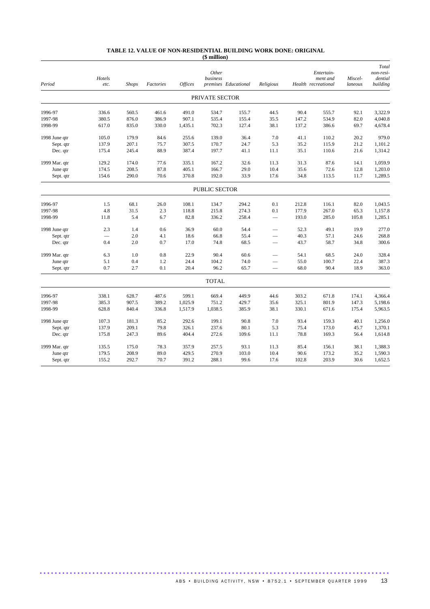#### **TABLE 12. VALUE OF NON-RESIDENTIAL BUILDING WORK DONE: ORIGINAL (\$ million)**

| Period        | Hotels<br>etc. | <b>Shops</b> | Factories | Offices | Other<br>business | premises Educational | Religious                |       | Entertain-<br>ment and<br>Health recreational | Miscel-<br>laneous | Total<br>non-resi-<br>dential<br>building |
|---------------|----------------|--------------|-----------|---------|-------------------|----------------------|--------------------------|-------|-----------------------------------------------|--------------------|-------------------------------------------|
|               |                |              |           |         | PRIVATE SECTOR    |                      |                          |       |                                               |                    |                                           |
| 1996-97       | 336.6          | 560.5        | 461.6     | 491.0   | 534.7             | 155.7                | 44.5                     | 90.4  | 555.7                                         | 92.1               | 3,322.9                                   |
| 1997-98       | 380.5          | 876.0        | 386.9     | 907.1   | 535.4             | 155.4                | 35.5                     | 147.2 | 534.9                                         | 82.0               | 4,040.8                                   |
| 1998-99       | 617.0          | 835.0        | 330.0     | 1,435.1 | 702.3             | 127.4                | 38.1                     | 137.2 | 386.6                                         | 69.7               | 4,678.4                                   |
| 1998 June qtr | 105.0          | 179.9        | 84.6      | 255.6   | 139.0             | 36.4                 | 7.0                      | 41.1  | 110.2                                         | 20.2               | 979.0                                     |
| Sept. qtr     | 137.9          | 207.1        | 75.7      | 307.5   | 170.7             | 24.7                 | 5.3                      | 35.2  | 115.9                                         | 21.2               | 1,101.2                                   |
| Dec. qtr      | 175.4          | 245.4        | 88.9      | 387.4   | 197.7             | 41.1                 | 11.1                     | 35.1  | 110.6                                         | 21.6               | 1,314.2                                   |
| 1999 Mar. qtr | 129.2          | 174.0        | 77.6      | 335.1   | 167.2             | 32.6                 | 11.3                     | 31.3  | 87.6                                          | 14.1               | 1,059.9                                   |
| June qtr      | 174.5          | 208.5        | 87.8      | 405.1   | 166.7             | 29.0                 | 10.4                     | 35.6  | 72.6                                          | 12.8               | 1,203.0                                   |
| Sept. qtr     | 154.6          | 290.0        | 70.6      | 370.8   | 192.0             | 33.9                 | 17.6                     | 34.8  | 113.5                                         | 11.7               | 1,289.5                                   |
|               |                |              |           |         | PUBLIC SECTOR     |                      |                          |       |                                               |                    |                                           |
| 1996-97       | 1.5            | 68.1         | 26.0      | 108.1   | 134.7             | 294.2                | 0.1                      | 212.8 | 116.1                                         | 82.0               | 1,043.5                                   |
| 1997-98       | 4.8            | 31.5         | 2.3       | 118.8   | 215.8             | 274.3                | 0.1                      | 177.9 | 267.0                                         | 65.3               | 1,157.8                                   |
| 1998-99       | 11.8           | 5.4          | 6.7       | 82.8    | 336.2             | 258.4                |                          | 193.0 | 285.0                                         | 105.8              | 1,285.1                                   |
| 1998 June qtr | 2.3            | 1.4          | 0.6       | 36.9    | 60.0              | 54.4                 |                          | 52.3  | 49.1                                          | 19.9               | 277.0                                     |
| Sept. qtr     |                | 2.0          | 4.1       | 18.6    | 66.8              | 55.4                 |                          | 40.3  | 57.1                                          | 24.6               | 268.8                                     |
| Dec. qtr      | 0.4            | 2.0          | 0.7       | 17.0    | 74.8              | 68.5                 |                          | 43.7  | 58.7                                          | 34.8               | 300.6                                     |
| 1999 Mar. qtr | 6.3            | 1.0          | $0.8\,$   | 22.9    | 90.4              | 60.6                 |                          | 54.1  | 68.5                                          | 24.0               | 328.4                                     |
| June qtr      | 5.1            | 0.4          | 1.2       | 24.4    | 104.2             | 74.0                 | $\overline{\phantom{0}}$ | 55.0  | 100.7                                         | 22.4               | 387.3                                     |
| Sept. qtr     | 0.7            | 2.7          | 0.1       | 20.4    | 96.2              | 65.7                 | $\overline{\phantom{0}}$ | 68.0  | 90.4                                          | 18.9               | 363.0                                     |
|               |                |              |           |         | <b>TOTAL</b>      |                      |                          |       |                                               |                    |                                           |
| 1996-97       | 338.1          | 628.7        | 487.6     | 599.1   | 669.4             | 449.9                | 44.6                     | 303.2 | 671.8                                         | 174.1              | 4,366.4                                   |
| 1997-98       | 385.3          | 907.5        | 389.2     | 1,025.9 | 751.2             | 429.7                | 35.6                     | 325.1 | 801.9                                         | 147.3              | 5,198.6                                   |
| 1998-99       | 628.8          | 840.4        | 336.8     | 1,517.9 | 1,038.5           | 385.9                | 38.1                     | 330.1 | 671.6                                         | 175.4              | 5,963.5                                   |
| 1998 June qtr | 107.3          | 181.3        | 85.2      | 292.6   | 199.1             | 90.8                 | 7.0                      | 93.4  | 159.3                                         | 40.1               | 1,256.0                                   |
| Sept. qtr     | 137.9          | 209.1        | 79.8      | 326.1   | 237.6             | 80.1                 | 5.3                      | 75.4  | 173.0                                         | 45.7               | 1,370.1                                   |
| Dec. qtr      | 175.8          | 247.3        | 89.6      | 404.4   | 272.6             | 109.6                | 11.1                     | 78.8  | 169.3                                         | 56.4               | 1,614.8                                   |
| 1999 Mar. qtr | 135.5          | 175.0        | 78.3      | 357.9   | 257.5             | 93.1                 | 11.3                     | 85.4  | 156.1                                         | 38.1               | 1,388.3                                   |
| June qtr      | 179.5          | 208.9        | 89.0      | 429.5   | 270.9             | 103.0                | 10.4                     | 90.6  | 173.2                                         | 35.2               | 1,590.3                                   |
| Sept. qtr     | 155.2          | 292.7        | 70.7      | 391.2   | 288.1             | 99.6                 | 17.6                     | 102.8 | 203.9                                         | 30.6               | 1,652.5                                   |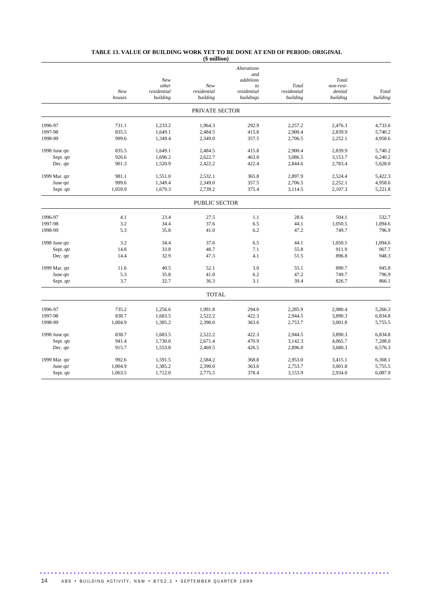#### **TABLE 13. VALUE OF BUILDING WORK YET TO BE DONE AT END OF PERIOD: ORIGINAL**

|               |               |                                         | $$$ million $)$                |                                             |                                  |                                           |                   |
|---------------|---------------|-----------------------------------------|--------------------------------|---------------------------------------------|----------------------------------|-------------------------------------------|-------------------|
|               |               |                                         |                                | <b>Alterations</b><br>and                   |                                  |                                           |                   |
|               | New<br>houses | New<br>other<br>residential<br>building | New<br>residential<br>building | additions<br>to<br>residential<br>buildings | Total<br>residential<br>building | Total<br>non-resi-<br>dential<br>building | Total<br>building |
|               |               |                                         | PRIVATE SECTOR                 |                                             |                                  |                                           |                   |
| 1996-97       | 731.1         | 1,233.2                                 | 1,964.3                        | 292.9                                       | 2,257.2                          | 2,476.3                                   | 4,733.6           |
| 1997-98       | 835.5         | 1,649.1                                 | 2,484.5                        | 415.8                                       | 2,900.4                          | 2,839.9                                   | 5,740.2           |
| 1998-99       | 999.6         | 1,349.4                                 | 2,349.0                        | 357.5                                       | 2,706.5                          | 2,252.1                                   | 4,958.6           |
| 1998 June qtr | 835.5         | 1,649.1                                 | 2,484.5                        | 415.8                                       | 2,900.4                          | 2,839.9                                   | 5,740.2           |
| Sept. qtr     | 926.6         | 1.696.2                                 | 2,622.7                        | 463.8                                       | 3.086.5                          | 3,153.7                                   | 6,240.2           |
| Dec. qtr      | 901.3         | 1,520.9                                 | 2,422.2                        | 422.4                                       | 2,844.6                          | 2,783.4                                   | 5,628.0           |
| 1999 Mar. qtr | 981.1         | 1,551.0                                 | 2,532.1                        | 365.8                                       | 2,897.9                          | 2,524.4                                   | 5,422.3           |
| June qtr      | 999.6         | 1,349.4                                 | 2,349.0                        | 357.5                                       | 2,706.5                          | 2,252.1                                   | 4,958.6           |
| Sept. qtr     | 1,059.9       | 1,679.3                                 | 2,739.2                        | 375.4                                       | 3,114.5                          | 2,107.3                                   | 5,221.8           |
|               |               |                                         | <b>PUBLIC SECTOR</b>           |                                             |                                  |                                           |                   |
| 1996-97       | 4.1           | 23.4                                    | 27.5                           | 1.1                                         | 28.6                             | 504.1                                     | 532.7             |
| 1997-98       | 3.2           | 34.4                                    | 37.6                           | 6.5                                         | 44.1                             | 1,050.5                                   | 1,094.6           |
| 1998-99       | 5.3           | 35.8                                    | 41.0                           | 6.2                                         | 47.2                             | 749.7                                     | 796.9             |
| 1998 June qtr | 3.2           | 34.4                                    | 37.6                           | 6.5                                         | 44.1                             | 1,050.5                                   | 1.094.6           |
| Sept. qtr     | 14.8          | 33.8                                    | 48.7                           | 7.1                                         | 55.8                             | 911.9                                     | 967.7             |
| Dec. qtr      | 14.4          | 32.9                                    | 47.3                           | 4.1                                         | 51.5                             | 896.8                                     | 948.3             |
| 1999 Mar. qtr | 11.6          | 40.5                                    | 52.1                           | 3.0                                         | 55.1                             | 890.7                                     | 945.8             |
| June qtr      | 5.3           | 35.8                                    | 41.0                           | 6.2                                         | 47.2                             | 749.7                                     | 796.9             |
| Sept. qtr     | 3.7           | 32.7                                    | 36.3                           | 3.1                                         | 39.4                             | 826.7                                     | 866.1             |
|               |               |                                         | <b>TOTAL</b>                   |                                             |                                  |                                           |                   |
| 1996-97       | 735.2         | 1,256.6                                 | 1,991.8                        | 294.0                                       | 2,285.9                          | 2,980.4                                   | 5,266.3           |
| 1997-98       | 838.7         | 1,683.5                                 | 2,522.2                        | 422.3                                       | 2,944.5                          | 3,890.3                                   | 6,834.8           |
| 1998-99       | 1,004.9       | 1,385.2                                 | 2,390.0                        | 363.6                                       | 2,753.7                          | 3,001.8                                   | 5,755.5           |
| 1998 June qtr | 838.7         | 1,683.5                                 | 2,522.2                        | 422.3                                       | 2,944.5                          | 3,890.3                                   | 6,834.8           |
| Sept. qtr     | 941.4         | 1,730.0                                 | 2.671.4                        | 470.9                                       | 3.142.3                          | 4,065.7                                   | 7,208.0           |
| Dec. qtr      | 915.7         | 1,553.8                                 | 2,469.5                        | 426.5                                       | 2,896.0                          | 3,680.3                                   | 6,576.3           |
| 1999 Mar. qtr | 992.6         | 1,591.5                                 | 2,584.2                        | 368.8                                       | 2,953.0                          | 3,415.1                                   | 6,368.1           |
| June qtr      | 1,004.9       | 1,385.2                                 | 2,390.0                        | 363.6                                       | 2,753.7                          | 3,001.8                                   | 5,755.5           |
| Sept. qtr     | 1,063.5       | 1,712.0                                 | 2,775.5                        | 378.4                                       | 3,153.9                          | 2,934.0                                   | 6,087.9           |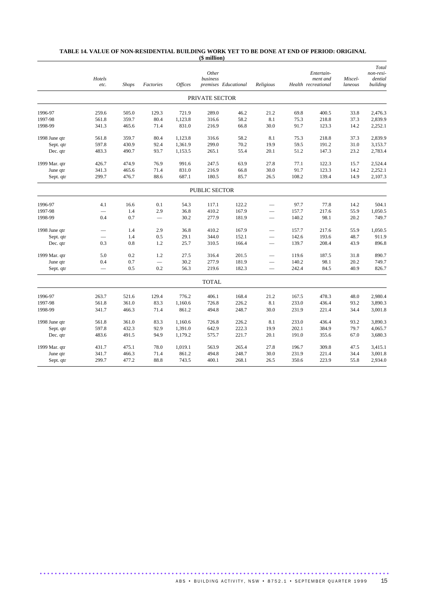#### **TABLE 14. VALUE OF NON-RESIDENTIAL BUILDING WORK YET TO BE DONE AT END OF PERIOD: ORIGINAL (\$ million)**

|               | Hotels<br>etc.           | <b>Shops</b> | Factories | <b>Offices</b> | Other<br>business | premises Educational | Religious                |       | Entertain-<br>ment and<br>Health recreational | Miscel-<br>laneous | Total<br>non-resi-<br>dential<br>building |
|---------------|--------------------------|--------------|-----------|----------------|-------------------|----------------------|--------------------------|-------|-----------------------------------------------|--------------------|-------------------------------------------|
|               |                          |              |           |                | PRIVATE SECTOR    |                      |                          |       |                                               |                    |                                           |
| 1996-97       | 259.6                    | 505.0        | 129.3     | 721.9          | 289.0             | 46.2                 | 21.2                     | 69.8  | 400.5                                         | 33.8               | 2,476.3                                   |
| 1997-98       | 561.8                    | 359.7        | 80.4      | 1,123.8        | 316.6             | 58.2                 | 8.1                      | 75.3  | 218.8                                         | 37.3               | 2,839.9                                   |
| 1998-99       | 341.3                    | 465.6        | 71.4      | 831.0          | 216.9             | 66.8                 | 30.0                     | 91.7  | 123.3                                         | 14.2               | 2,252.1                                   |
| 1998 June qtr | 561.8                    | 359.7        | 80.4      | 1,123.8        | 316.6             | 58.2                 | 8.1                      | 75.3  | 218.8                                         | 37.3               | 2,839.9                                   |
| Sept. qtr     | 597.8                    | 430.9        | 92.4      | 1,361.9        | 299.0             | 70.2                 | 19.9                     | 59.5  | 191.2                                         | 31.0               | 3,153.7                                   |
| Dec. qtr      | 483.3                    | 490.7        | 93.7      | 1,153.5        | 265.1             | 55.4                 | 20.1                     | 51.2  | 147.3                                         | 23.2               | 2,783.4                                   |
| 1999 Mar. qtr | 426.7                    | 474.9        | 76.9      | 991.6          | 247.5             | 63.9                 | 27.8                     | 77.1  | 122.3                                         | 15.7               | 2,524.4                                   |
| June qtr      | 341.3                    | 465.6        | 71.4      | 831.0          | 216.9             | 66.8                 | 30.0                     | 91.7  | 123.3                                         | 14.2               | 2,252.1                                   |
| Sept. qtr     | 299.7                    | 476.7        | 88.6      | 687.1          | 180.5             | 85.7                 | 26.5                     | 108.2 | 139.4                                         | 14.9               | 2.107.3                                   |
|               |                          |              |           |                | PUBLIC SECTOR     |                      |                          |       |                                               |                    |                                           |
| 1996-97       | 4.1                      | 16.6         | 0.1       | 54.3           | 117.1             | 122.2                |                          | 97.7  | 77.8                                          | 14.2               | 504.1                                     |
| 1997-98       | $\overline{\phantom{0}}$ | 1.4          | 2.9       | 36.8           | 410.2             | 167.9                |                          | 157.7 | 217.6                                         | 55.9               | 1,050.5                                   |
| 1998-99       | 0.4                      | 0.7          |           | 30.2           | 277.9             | 181.9                |                          | 140.2 | 98.1                                          | 20.2               | 749.7                                     |
| 1998 June qtr |                          | 1.4          | 2.9       | 36.8           | 410.2             | 167.9                | $\overline{\phantom{0}}$ | 157.7 | 217.6                                         | 55.9               | 1,050.5                                   |
| Sept. qtr     |                          | 1.4          | 0.5       | 29.1           | 344.0             | 152.1                |                          | 142.6 | 193.6                                         | 48.7               | 911.9                                     |
| Dec. qtr      | 0.3                      | 0.8          | 1.2       | 25.7           | 310.5             | 166.4                |                          | 139.7 | 208.4                                         | 43.9               | 896.8                                     |
| 1999 Mar. qtr | 5.0                      | 0.2          | 1.2       | 27.5           | 316.4             | 201.5                |                          | 119.6 | 187.5                                         | 31.8               | 890.7                                     |
| June qtr      | 0.4                      | 0.7          |           | 30.2           | 277.9             | 181.9                |                          | 140.2 | 98.1                                          | 20.2               | 749.7                                     |
| Sept. qtr     | $\qquad \qquad$          | 0.5          | 0.2       | 56.3           | 219.6             | 182.3                |                          | 242.4 | 84.5                                          | 40.9               | 826.7                                     |
|               |                          |              |           |                | <b>TOTAL</b>      |                      |                          |       |                                               |                    |                                           |
| 1996-97       | 263.7                    | 521.6        | 129.4     | 776.2          | 406.1             | 168.4                | 21.2                     | 167.5 | 478.3                                         | 48.0               | 2,980.4                                   |
| 1997-98       | 561.8                    | 361.0        | 83.3      | 1,160.6        | 726.8             | 226.2                | 8.1                      | 233.0 | 436.4                                         | 93.2               | 3,890.3                                   |
| 1998-99       | 341.7                    | 466.3        | 71.4      | 861.2          | 494.8             | 248.7                | 30.0                     | 231.9 | 221.4                                         | 34.4               | 3,001.8                                   |
| 1998 June qtr | 561.8                    | 361.0        | 83.3      | 1,160.6        | 726.8             | 226.2                | 8.1                      | 233.0 | 436.4                                         | 93.2               | 3,890.3                                   |
| Sept. qtr     | 597.8                    | 432.3        | 92.9      | 1,391.0        | 642.9             | 222.3                | 19.9                     | 202.1 | 384.9                                         | 79.7               | 4,065.7                                   |
| Dec. qtr      | 483.6                    | 491.5        | 94.9      | 1,179.2        | 575.7             | 221.7                | 20.1                     | 191.0 | 355.6                                         | 67.0               | 3,680.3                                   |
| 1999 Mar. qtr | 431.7                    | 475.1        | 78.0      | 1,019.1        | 563.9             | 265.4                | 27.8                     | 196.7 | 309.8                                         | 47.5               | 3,415.1                                   |
| June qtr      | 341.7                    | 466.3        | 71.4      | 861.2          | 494.8             | 248.7                | 30.0                     | 231.9 | 221.4                                         | 34.4               | 3,001.8                                   |
| Sept. qtr     | 299.7                    | 477.2        | 88.8      | 743.5          | 400.1             | 268.1                | 26.5                     | 350.6 | 223.9                                         | 55.8               | 2,934.0                                   |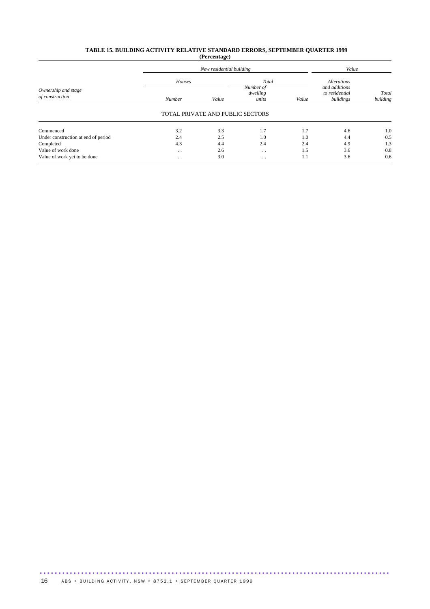#### **TABLE 15. BUILDING ACTIVITY RELATIVE STANDARD ERRORS, SEPTEMBER QUARTER 1999 (Percentage)**

|                                     |                      | New residential building         |                      |       |                                     |                   |  |
|-------------------------------------|----------------------|----------------------------------|----------------------|-------|-------------------------------------|-------------------|--|
| Ownership and stage                 | Houses               |                                  | Total<br>Number of   |       | <b>Alterations</b><br>and additions |                   |  |
| of construction                     | Number               | Value                            | dwelling<br>units    | Value | to residential<br>buildings         | Total<br>building |  |
|                                     |                      | TOTAL PRIVATE AND PUBLIC SECTORS |                      |       |                                     |                   |  |
| Commenced                           | 3.2                  | 3.3                              | 1.7                  | 1.7   | 4.6                                 | 1.0               |  |
| Under construction at end of period | 2.4                  | 2.5                              | 1.0                  | 1.0   | 4.4                                 | 0.5               |  |
| Completed                           | 4.3                  | 4.4                              | 2.4                  | 2.4   | 4.9                                 | 1.3               |  |
| Value of work done                  | $\cdot$ .            | 2.6                              | $\cdot$ .            | 1.5   | 3.6                                 | 0.8               |  |
| Value of work yet to be done        | $\ddot{\phantom{0}}$ | 3.0                              | $\ddot{\phantom{0}}$ | 1.1   | 3.6                                 | 0.6               |  |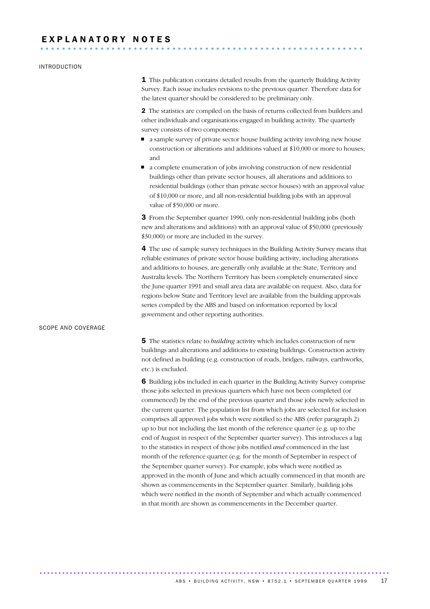# E X P L A N A T O R Y N O T E S ...........................................................

#### INTRODUCTION

**1** This publication contains detailed results from the quarterly Building Activity Survey. Each issue includes revisions to the previous quarter. Therefore data for the latest quarter should be considered to be preliminary only.

2 The statistics are compiled on the basis of returns collected from builders and other individuals and organisations engaged in building activity. The quarterly survey consists of two components:

- a sample survey of private sector house building activity involving new house construction or alterations and additions valued at \$10,000 or more to houses; and
- a complete enumeration of jobs involving construction of new residential buildings other than private sector houses, all alterations and additions to residential buildings (other than private sector houses) with an approval value of \$10,000 or more, and all non-residential building jobs with an approval value of \$50,000 or more.

3 From the September quarter 1990, only non-residential building jobs (both new and alterations and additions) with an approval value of \$50,000 (previously \$30,000) or more are included in the survey.

4 The use of sample survey techniques in the Building Activity Survey means that reliable estimates of private sector house building activity, including alterations and additions to houses, are generally only available at the State, Territory and Australia levels. The Northern Territory has been completely enumerated since the June quarter 1991 and small area data are available on request. Also, data for regions below State and Territory level are available from the building approvals series compiled by the ABS and based on information reported by local government and other reporting authorities.

#### SCOPE AND COVERAGE

5 The statistics relate to *building* activity which includes construction of new buildings and alterations and additions to existing buildings. Construction activity not defined as building (e.g. construction of roads, bridges, railways, earthworks, etc.) is excluded.

6 Building jobs included in each quarter in the Building Activity Survey comprise those jobs selected in previous quarters which have not been completed (or commenced) by the end of the previous quarter and those jobs newly selected in the current quarter. The population list from which jobs are selected for inclusion comprises all approved jobs which were notified to the ABS (refer paragraph 2) up to but not including the last month of the reference quarter (e.g. up to the end of August in respect of the September quarter survey). This introduces a lag to the statistics in respect of those jobs notified *and* commenced in the last month of the reference quarter (e.g. for the month of September in respect of the September quarter survey). For example, jobs which were notified as approved in the month of June and which actually commenced in that month are shown as commencements in the September quarter. Similarly, building jobs which were notified in the month of September and which actually commenced in that month are shown as commencements in the December quarter.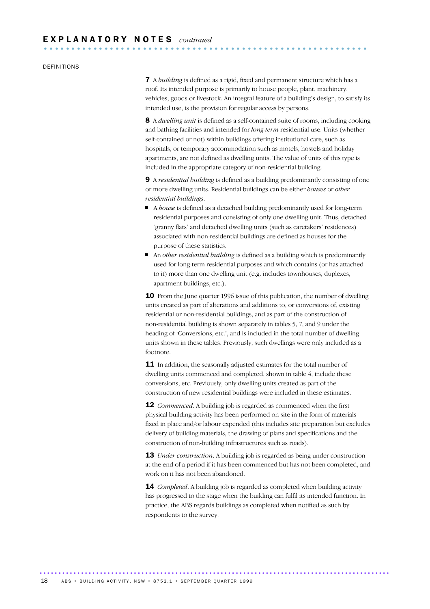#### DEFINITIONS

7 A *building* is defined as a rigid, fixed and permanent structure which has a roof. Its intended purpose is primarily to house people, plant, machinery, vehicles, goods or livestock. An integral feature of a building's design, to satisfy its intended use, is the provision for regular access by persons.

8 A *dwelling unit* is defined as a self-contained suite of rooms, including cooking and bathing facilities and intended for *long-term* residential use. Units (whether self-contained or not) within buildings offering institutional care, such as hospitals, or temporary accommodation such as motels, hostels and holiday apartments, are not defined as dwelling units. The value of units of this type is included in the appropriate category of non-residential building.

9 A *residential building* is defined as a building predominantly consisting of one or more dwelling units. Residential buildings can be either *houses* or *other residential buildings*.

- A *house* is defined as a detached building predominantly used for long-term residential purposes and consisting of only one dwelling unit. Thus, detached 'granny flats' and detached dwelling units (such as caretakers' residences) associated with non-residential buildings are defined as houses for the purpose of these statistics.
- An *other residential building* is defined as a building which is predominantly used for long-term residential purposes and which contains (or has attached to it) more than one dwelling unit (e.g. includes townhouses, duplexes, apartment buildings, etc.).

10 From the June quarter 1996 issue of this publication, the number of dwelling units created as part of alterations and additions to, or conversions of, existing residential or non-residential buildings, and as part of the construction of non-residential building is shown separately in tables 5, 7, and 9 under the heading of 'Conversions, etc.', and is included in the total number of dwelling units shown in these tables. Previously, such dwellings were only included as a footnote.

**11** In addition, the seasonally adjusted estimates for the total number of dwelling units commenced and completed, shown in table 4, include these conversions, etc. Previously, only dwelling units created as part of the construction of new residential buildings were included in these estimates.

**12** *Commenced*. A building job is regarded as commenced when the first physical building activity has been performed on site in the form of materials fixed in place and/or labour expended (this includes site preparation but excludes delivery of building materials, the drawing of plans and specifications and the construction of non-building infrastructures such as roads).

13 *Under construction*. A building job is regarded as being under construction at the end of a period if it has been commenced but has not been completed, and work on it has not been abandoned.

14 *Completed*. A building job is regarded as completed when building activity has progressed to the stage when the building can fulfil its intended function. In practice, the ABS regards buildings as completed when notified as such by respondents to the survey.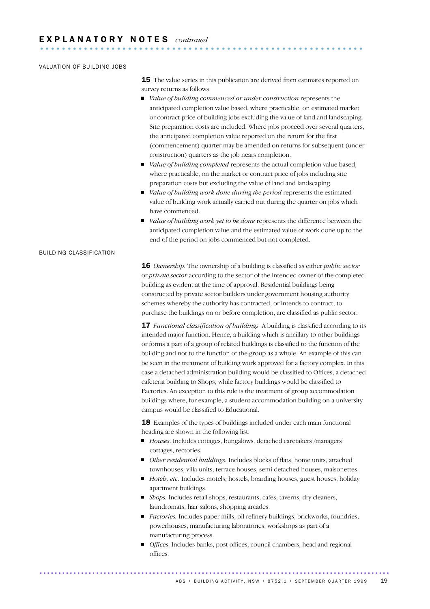### VALUATION OF BUILDING JOBS

**15** The value series in this publication are derived from estimates reported on survey returns as follows.

- *Value of building commenced or under construction* represents the anticipated completion value based, where practicable, on estimated market or contract price of building jobs excluding the value of land and landscaping. Site preparation costs are included. Where jobs proceed over several quarters, the anticipated completion value reported on the return for the first (commencement) quarter may be amended on returns for subsequent (under construction) quarters as the job nears completion.
- *Value of building completed* represents the actual completion value based, where practicable, on the market or contract price of jobs including site preparation costs but excluding the value of land and landscaping.
- *Value of building work done during the period* represents the estimated value of building work actually carried out during the quarter on jobs which have commenced.
- *Value of building work yet to be done* represents the difference between the anticipated completion value and the estimated value of work done up to the end of the period on jobs commenced but not completed.

## BUILDING CLASSIFICATION

16 *Ownership.* The ownership of a building is classified as either *public sector* or *private sector* according to the sector of the intended owner of the completed building as evident at the time of approval. Residential buildings being constructed by private sector builders under government housing authority schemes whereby the authority has contracted, or intends to contract, to purchase the buildings on or before completion, are classified as public sector.

17 *Functional classification of buildings.* A building is classified according to its intended major function. Hence, a building which is ancillary to other buildings or forms a part of a group of related buildings is classified to the function of the building and not to the function of the group as a whole. An example of this can be seen in the treatment of building work approved for a factory complex. In this case a detached administration building would be classified to Offices, a detached cafeteria building to Shops, while factory buildings would be classified to Factories. An exception to this rule is the treatment of group accommodation buildings where, for example, a student accommodation building on a university campus would be classified to Educational.

18 Examples of the types of buildings included under each main functional heading are shown in the following list.

- *Houses*. Includes cottages, bungalows, detached caretakers'/managers' cottages, rectories.
- *Other residential buildings.* Includes blocks of flats, home units, attached townhouses, villa units, terrace houses, semi-detached houses, maisonettes.
- *Hotels, etc.* Includes motels, hostels, boarding houses, guest houses, holiday apartment buildings.
- *Shops*. Includes retail shops, restaurants, cafes, taverns, dry cleaners, laundromats, hair salons, shopping arcades.
- *Factories*. Includes paper mills, oil refinery buildings, brickworks, foundries, powerhouses, manufacturing laboratories, workshops as part of a manufacturing process.
- *Offices*. Includes banks, post offices, council chambers, head and regional offices.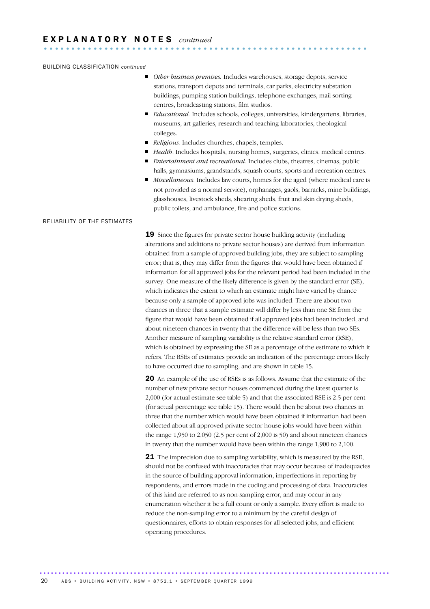#### BUILDING CLASSIFICATION *continued*

- *Other business premises*. Includes warehouses, storage depots, service stations, transport depots and terminals, car parks, electricity substation buildings, pumping station buildings, telephone exchanges, mail sorting centres, broadcasting stations, film studios.
- *Educational.* Includes schools, colleges, universities, kindergartens, libraries, museums, art galleries, research and teaching laboratories, theological colleges.
- *Religious*. Includes churches, chapels, temples.
- *Health*. Includes hospitals, nursing homes, surgeries, clinics, medical centres*.*
- *Entertainment and recreational*. Includes clubs, theatres, cinemas, public halls, gymnasiums, grandstands, squash courts, sports and recreation centres.
- *Miscellaneous*. Includes law courts, homes for the aged (where medical care is not provided as a normal service), orphanages, gaols, barracks, mine buildings, glasshouses, livestock sheds, shearing sheds, fruit and skin drying sheds, public toilets, and ambulance, fire and police stations.

#### RELIABILITY OF THE ESTIMATES

19 Since the figures for private sector house building activity (including alterations and additions to private sector houses) are derived from information obtained from a sample of approved building jobs, they are subject to sampling error; that is, they may differ from the figures that would have been obtained if information for all approved jobs for the relevant period had been included in the survey. One measure of the likely difference is given by the standard error (SE), which indicates the extent to which an estimate might have varied by chance because only a sample of approved jobs was included. There are about two chances in three that a sample estimate will differ by less than one SE from the figure that would have been obtained if all approved jobs had been included, and about nineteen chances in twenty that the difference will be less than two SEs. Another measure of sampling variability is the relative standard error (RSE), which is obtained by expressing the SE as a percentage of the estimate to which it refers. The RSEs of estimates provide an indication of the percentage errors likely to have occurred due to sampling, and are shown in table 15.

20 An example of the use of RSEs is as follows. Assume that the estimate of the number of new private sector houses commenced during the latest quarter is 2,000 (for actual estimate see table 5) and that the associated RSE is 2.5 per cent (for actual percentage see table 15). There would then be about two chances in three that the number which would have been obtained if information had been collected about all approved private sector house jobs would have been within the range 1,950 to 2,050 (2.5 per cent of 2,000 is 50) and about nineteen chances in twenty that the number would have been within the range 1,900 to 2,100.

**21** The imprecision due to sampling variability, which is measured by the RSE, should not be confused with inaccuracies that may occur because of inadequacies in the source of building approval information, imperfections in reporting by respondents, and errors made in the coding and processing of data. Inaccuracies of this kind are referred to as non-sampling error, and may occur in any enumeration whether it be a full count or only a sample. Every effort is made to reduce the non-sampling error to a minimum by the careful design of questionnaires, efforts to obtain responses for all selected jobs, and efficient operating procedures.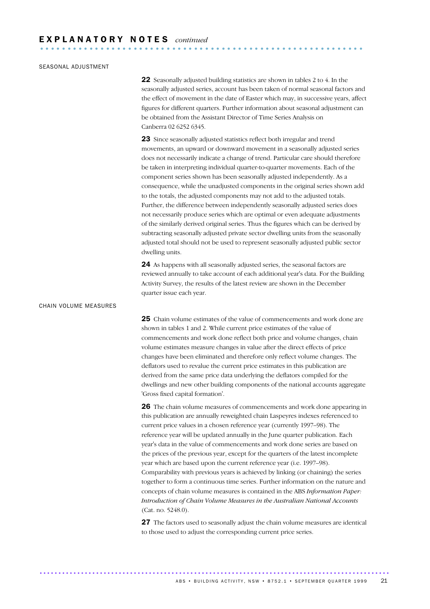## SEASONAL ADJUSTMENT

22 Seasonally adjusted building statistics are shown in tables 2 to 4. In the seasonally adjusted series, account has been taken of normal seasonal factors and the effect of movement in the date of Easter which may, in successive years, affect figures for different quarters. Further information about seasonal adjustment can be obtained from the Assistant Director of Time Series Analysis on Canberra 02 6252 6345.

23 Since seasonally adjusted statistics reflect both irregular and trend movements, an upward or downward movement in a seasonally adjusted series does not necessarily indicate a change of trend. Particular care should therefore be taken in interpreting individual quarter-to-quarter movements. Each of the component series shown has been seasonally adjusted independently. As a consequence, while the unadjusted components in the original series shown add to the totals, the adjusted components may not add to the adjusted totals. Further, the difference between independently seasonally adjusted series does not necessarily produce series which are optimal or even adequate adjustments of the similarly derived original series. Thus the figures which can be derived by subtracting seasonally adjusted private sector dwelling units from the seasonally adjusted total should not be used to represent seasonally adjusted public sector dwelling units.

24 As happens with all seasonally adjusted series, the seasonal factors are reviewed annually to take account of each additional year's data. For the Building Activity Survey, the results of the latest review are shown in the December quarter issue each year.

## CHAIN VOLUME MEASURES

25 Chain volume estimates of the value of commencements and work done are shown in tables 1 and 2. While current price estimates of the value of commencements and work done reflect both price and volume changes, chain volume estimates measure changes in value after the direct effects of price changes have been eliminated and therefore only reflect volume changes. The deflators used to revalue the current price estimates in this publication are derived from the same price data underlying the deflators compiled for the dwellings and new other building components of the national accounts aggregate 'Gross fixed capital formation'.

26 The chain volume measures of commencements and work done appearing in this publication are annually reweighted chain Laspeyres indexes referenced to current price values in a chosen reference year (currently 1997–98). The reference year will be updated annually in the June quarter publication. Each year's data in the value of commencements and work done series are based on the prices of the previous year, except for the quarters of the latest incomplete year which are based upon the current reference year (i.e. 1997–98). Comparability with previous years is achieved by linking (or chaining) the series together to form a continuous time series. Further information on the nature and concepts of chain volume measures is contained in the ABS *Information Paper: Introduction of Chain Volume Measures in the Australian National Accounts* (Cat. no. 5248.0).

27 The factors used to seasonally adjust the chain volume measures are identical to those used to adjust the corresponding current price series.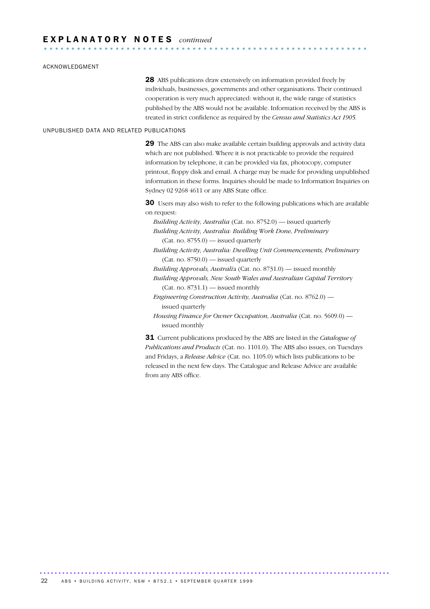#### ACKNOWLEDGMENT

28 ABS publications draw extensively on information provided freely by individuals, businesses, governments and other organisations. Their continued cooperation is very much appreciated: without it, the wide range of statistics published by the ABS would not be available. Information received by the ABS is treated in strict confidence as required by the *Census and Statistics Act 1905.*

## UNPUBLISHED DATA AND RELATED PUBLICATIONS

29 The ABS can also make available certain building approvals and activity data which are not published. Where it is not practicable to provide the required information by telephone, it can be provided via fax, photocopy, computer printout, floppy disk and email. A charge may be made for providing unpublished information in these forms. Inquiries should be made to Information Inquiries on Sydney 02 9268 4611 or any ABS State office.

30 Users may also wish to refer to the following publications which are available on request:

*Building Activity, Australia* (Cat. no. 8752.0) — issued quarterly *Building Activity, Australia: Building Work Done, Preliminary* (Cat. no. 8755.0) — issued quarterly

*Building Activity, Australia: Dwelling Unit Commencements, Preliminary* (Cat. no. 8750.0) — issued quarterly

*Building Approvals, Australi*a (Cat. no. 8731.0) — issued monthly

*Building Approvals, New South Wales and Australian Capital Territor*y  $(Cat. no. 8731.1)$  — issued monthly

*Engineering Construction Activity, Australia* (Cat. no. 8762.0) issued quarterly

*Housing Finance for Owner Occupation, Australia* (Cat. no. 5609.0) issued monthly

31 Current publications produced by the ABS are listed in the *Catalogue of Publications and Products* (Cat. no. 1101.0). The ABS also issues, on Tuesdays and Fridays, a *Release Advice* (Cat. no. 1105.0) which lists publications to be released in the next few days. The Catalogue and Release Advice are available from any ABS office.